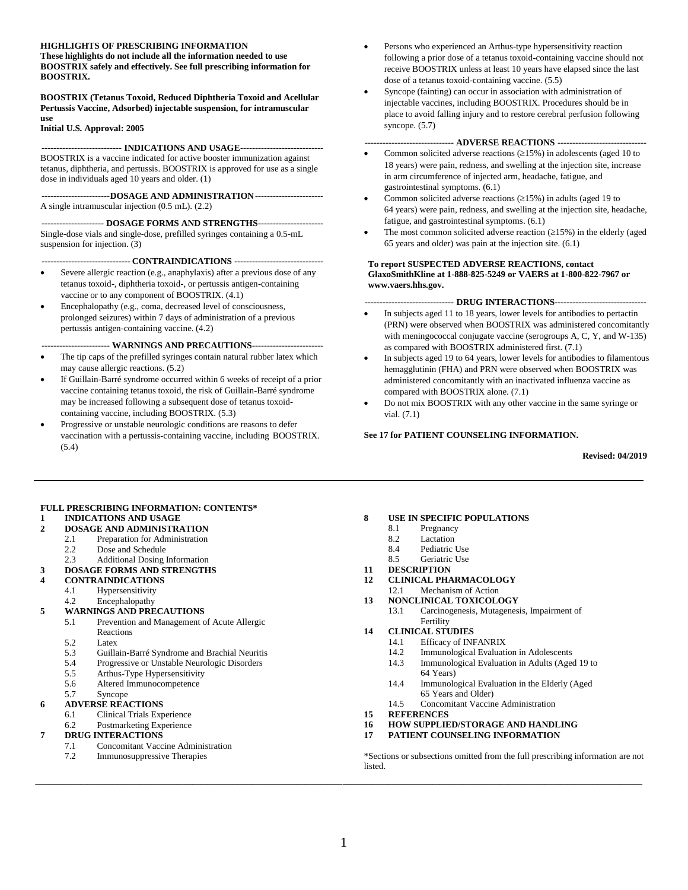#### **HIGHLIGHTS OF PRESCRIBING INFORMATION**

**These highlights do not include all the information needed to use BOOSTRIX safely and effectively. See full prescribing information for BOOSTRIX.**

**BOOSTRIX (Tetanus Toxoid, Reduced Diphtheria Toxoid and Acellular Pertussis Vaccine, Adsorbed) injectable suspension, for intramuscular use**

**Initial U.S. Approval: 2005**

#### **--------------------------- INDICATIONS AND USAGE----------------------------**

BOOSTRIX is a vaccine indicated for active booster immunization against tetanus, diphtheria, and pertussis. BOOSTRIX is approved for use as a single dose in individuals aged 10 years and older. (1)

**-----------------------DOSAGE AND ADMINISTRATION-----------------------** A single intramuscular injection (0.5 mL). (2.2)

**--------------------- DOSAGE FORMS AND STRENGTHS----------------------** Single-dose vials and single-dose, prefilled syringes containing a 0.5-mL suspension for injection. (3)

**------------------------------ CONTRAINDICATIONS ------------------------------**

- Severe allergic reaction (e.g., anaphylaxis) after a previous dose of any tetanus toxoid-, diphtheria toxoid-, or pertussis antigen-containing vaccine or to any component of BOOSTRIX. (4.1)
- Encephalopathy (e.g., coma, decreased level of consciousness, prolonged seizures) within 7 days of administration of a previous pertussis antigen-containing vaccine. (4.2)

**----------------------- WARNINGS AND PRECAUTIONS------------------------**

- The tip caps of the prefilled syringes contain natural rubber latex which may cause allergic reactions. (5.2)
- If Guillain-Barré syndrome occurred within 6 weeks of receipt of a prior vaccine containing tetanus toxoid, the risk of Guillain-Barré syndrome may be increased following a subsequent dose of tetanus toxoidcontaining vaccine, including BOOSTRIX. (5.3)
- Progressive or unstable neurologic conditions are reasons to defer vaccination with a pertussis-containing vaccine, including BOOSTRIX. (5.4)
- Persons who experienced an Arthus-type hypersensitivity reaction following a prior dose of a tetanus toxoid-containing vaccine should not receive BOOSTRIX unless at least 10 years have elapsed since the last dose of a tetanus toxoid-containing vaccine. (5.5)
- Syncope (fainting) can occur in association with administration of injectable vaccines, including BOOSTRIX. Procedures should be in place to avoid falling injury and to restore cerebral perfusion following syncope. (5.7)

#### **------------------------------ ADVERSE REACTIONS ------------------------------**

- Common solicited adverse reactions  $(\geq 15\%)$  in adolescents (aged 10 to 18 years) were pain, redness, and swelling at the injection site, increase in arm circumference of injected arm, headache, fatigue, and gastrointestinal symptoms. (6.1)
- Common solicited adverse reactions  $(\geq 15\%)$  in adults (aged 19 to 64 years) were pain, redness, and swelling at the injection site, headache, fatigue, and gastrointestinal symptoms. (6.1)
- The most common solicited adverse reaction  $(\geq 15\%)$  in the elderly (aged 65 years and older) was pain at the injection site. (6.1)

#### **To report SUSPECTED ADVERSE REACTIONS, contact GlaxoSmithKline at 1-888-825-5249 or VAERS at 1-800-822-7967 or www.vaers.hhs.gov.**

#### **------------------------------ DRUG INTERACTIONS-------------------------------**

- In subjects aged 11 to 18 years, lower levels for antibodies to pertactin (PRN) were observed when BOOSTRIX was administered concomitantly with meningococcal conjugate vaccine (serogroups A, C, Y, and W-135) as compared with BOOSTRIX administered first. (7.1)
- In subjects aged 19 to 64 years, lower levels for antibodies to filamentous hemagglutinin (FHA) and PRN were observed when BOOSTRIX was administered concomitantly with an inactivated influenza vaccine as compared with BOOSTRIX alone. (7.1)
- Do not mix BOOSTRIX with any other vaccine in the same syringe or vial. (7.1)

#### **See 17 for PATIENT COUNSELING INFORMATION.**

**Revised: 04/2019**

#### **FULL PRESCRIBING INFORMATION: CONTENTS\***

#### **1 [INDICATIONS AND USAGE](#page-1-0)**

- **2 [DOSAGE AND ADMINISTRATION](#page-1-1)**
	- 2.1 [Preparation for Administration](#page-1-2)<br>2.2 Dose and Schedule
	- [Dose and Schedule](#page-1-3)
	- 2.3 [Additional Dosing Information](#page-1-4)
- **3 [DOSAGE FORMS AND STRENGTHS](#page-2-0)**

#### **4 [CONTRAINDICATIONS](#page-2-1)**

- 4.1 [Hypersensitivity](#page-2-2)
- 4.2 [Encephalopathy](#page-2-3)
- **5 [WARNINGS AND PRECAUTIONS](#page-2-4)**
	- 5.1 [Prevention and Management of Acute Allergic](#page-2-5)  [Reactions](#page-2-5)
		-
	- 5.2 [Latex](#page-2-6)<br>5.3 Guilla 5.3 [Guillain-Barré Syndrome and Brachial Neuritis](#page-2-7)<br>5.4 Progressive or Unstable Neurologic Disorders
	- 5.4 [Progressive or Unstable Neurologic Disorders](#page-2-8)
	- 5.5 [Arthus-Type Hypersensitivity](#page-3-0)
	- 5.6 [Altered Immunocompetence](#page-3-1)<br>5.7 Syncope
	- [Syncope](#page-3-2)
- **6 [ADVERSE REACTIONS](#page-3-3)**
	- 6.1 [Clinical Trials Experience](#page-3-4)
	- 6.2 [Postmarketing Experience](#page-11-0)

#### **7 [DRUG INTERACTIONS](#page-12-0)**

- 7.1 [Concomitant Vaccine Administration](#page-12-1)
- 7.2 [Immunosuppressive Therapies](#page-12-2)

#### **8 [USE IN SPECIFIC POPULATIONS](#page-13-0)**

- 8.1 [Pregnancy](#page-13-1)
- 8.2 [Lactation](#page-14-0)
- 8.4 [Pediatric Use](#page-14-1)<br>8.5 Geriatric Use
- [Geriatric Use](#page-14-2)
- **11 [DESCRIPTION](#page-15-0)**
- **12 [CLINICAL PHARMACOLOGY](#page-16-0)**
- 12.1 [Mechanism of Action](#page-16-1) **13 [NONCLINICAL TOXICOLOGY](#page-16-2)**
	- 13.1 [Carcinogenesis, Mutagenesis, Impairment of](#page-16-3)
- - [Efficacy of INFANRIX](#page-16-5)
		- 14.2 [Immunological Evaluation in Adolescents](#page-17-0)
		- 14.3 [Immunological Evaluation in Adults \(Aged 19 to](#page-20-0) 
			- 64 [Years\)](#page-20-0)
		- 14.4 [Immunological Evaluation in the Elderly \(Aged](#page-23-0)  65 [Years and Older\)](#page-23-0)
		- 14.5 [Concomitant Vaccine Administration](#page-25-0)
- **15 [REFERENCES](#page-26-0)**
- **16 [HOW SUPPLIED/STORAGE](#page-26-1) AND HANDLING**
- **17 [PATIENT COUNSELING INFORMATION](#page-27-0)**

\*Sections or subsections omitted from the full prescribing information are not listed.

**\_\_\_\_\_\_\_\_\_\_\_\_\_\_\_\_\_\_\_\_\_\_\_\_\_\_\_\_\_\_\_\_\_\_\_\_\_\_\_\_\_\_\_\_\_\_\_\_\_\_\_\_\_\_\_\_\_\_\_\_\_\_\_\_\_\_\_\_\_\_\_\_\_\_\_\_\_\_\_\_\_**

- [Fertility](#page-16-3) 14 **[CLINICAL STUDIES](#page-16-4)**<br>14.1 **Efficacy of INE** 
	-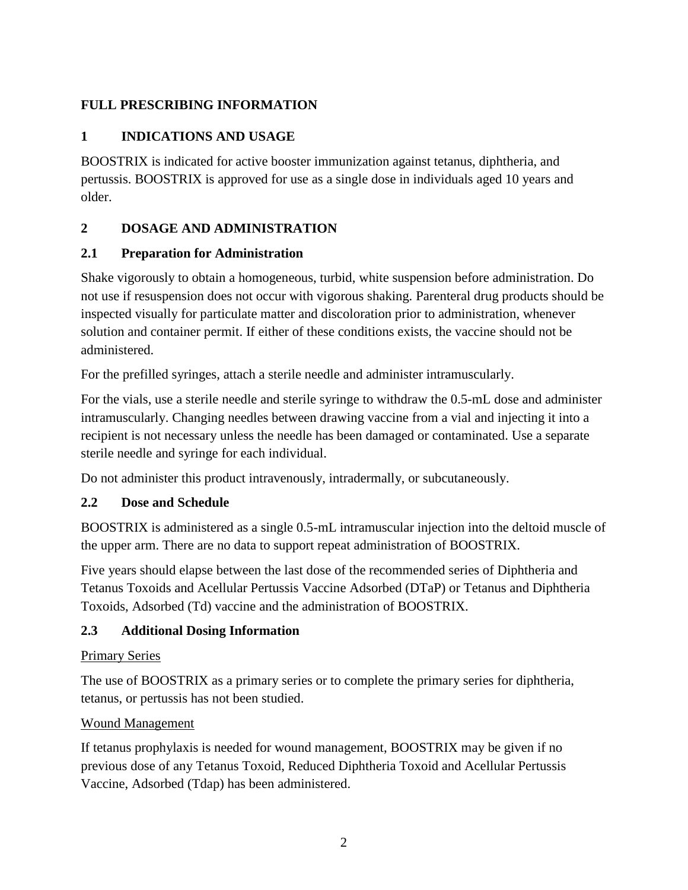# <span id="page-1-0"></span>**FULL PRESCRIBING INFORMATION**

# **1 INDICATIONS AND USAGE**

BOOSTRIX is indicated for active booster immunization against tetanus, diphtheria, and pertussis. BOOSTRIX is approved for use as a single dose in individuals aged 10 years and older.

# <span id="page-1-1"></span>**2 DOSAGE AND ADMINISTRATION**

#### <span id="page-1-2"></span>**2.1 Preparation for Administration**

Shake vigorously to obtain a homogeneous, turbid, white suspension before administration. Do not use if resuspension does not occur with vigorous shaking. Parenteral drug products should be inspected visually for particulate matter and discoloration prior to administration, whenever solution and container permit. If either of these conditions exists, the vaccine should not be administered.

For the prefilled syringes, attach a sterile needle and administer intramuscularly.

For the vials, use a sterile needle and sterile syringe to withdraw the 0.5-mL dose and administer intramuscularly. Changing needles between drawing vaccine from a vial and injecting it into a recipient is not necessary unless the needle has been damaged or contaminated. Use a separate sterile needle and syringe for each individual.

Do not administer this product intravenously, intradermally, or subcutaneously.

## <span id="page-1-3"></span>**2.2 Dose and Schedule**

BOOSTRIX is administered as a single 0.5-mL intramuscular injection into the deltoid muscle of the upper arm. There are no data to support repeat administration of BOOSTRIX.

Five years should elapse between the last dose of the recommended series of Diphtheria and Tetanus Toxoids and Acellular Pertussis Vaccine Adsorbed (DTaP) or Tetanus and Diphtheria Toxoids, Adsorbed (Td) vaccine and the administration of BOOSTRIX.

## <span id="page-1-4"></span>**2.3 Additional Dosing Information**

#### Primary Series

The use of BOOSTRIX as a primary series or to complete the primary series for diphtheria, tetanus, or pertussis has not been studied.

#### Wound Management

If tetanus prophylaxis is needed for wound management, BOOSTRIX may be given if no previous dose of any Tetanus Toxoid, Reduced Diphtheria Toxoid and Acellular Pertussis Vaccine, Adsorbed (Tdap) has been administered.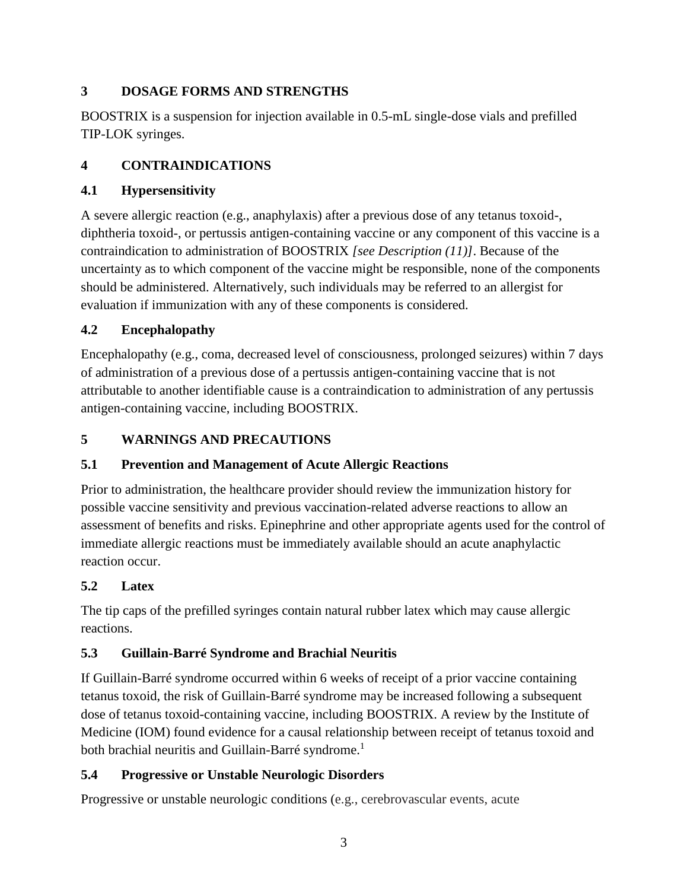# <span id="page-2-0"></span>**3 DOSAGE FORMS AND STRENGTHS**

BOOSTRIX is a suspension for injection available in 0.5-mL single-dose vials and prefilled TIP-LOK syringes.

# <span id="page-2-1"></span>**4 CONTRAINDICATIONS**

# <span id="page-2-2"></span>**4.1 Hypersensitivity**

A severe allergic reaction (e.g., anaphylaxis) after a previous dose of any tetanus toxoid-, diphtheria toxoid-, or pertussis antigen-containing vaccine or any component of this vaccine is a contraindication to administration of BOOSTRIX *[see Description (11)]*. Because of the uncertainty as to which component of the vaccine might be responsible, none of the components should be administered. Alternatively, such individuals may be referred to an allergist for evaluation if immunization with any of these components is considered.

# <span id="page-2-3"></span>**4.2 Encephalopathy**

Encephalopathy (e.g., coma, decreased level of consciousness, prolonged seizures) within 7 days of administration of a previous dose of a pertussis antigen-containing vaccine that is not attributable to another identifiable cause is a contraindication to administration of any pertussis antigen-containing vaccine, including BOOSTRIX.

# <span id="page-2-4"></span>**5 WARNINGS AND PRECAUTIONS**

# <span id="page-2-5"></span>**5.1 Prevention and Management of Acute Allergic Reactions**

Prior to administration, the healthcare provider should review the immunization history for possible vaccine sensitivity and previous vaccination-related adverse reactions to allow an assessment of benefits and risks. Epinephrine and other appropriate agents used for the control of immediate allergic reactions must be immediately available should an acute anaphylactic reaction occur.

# <span id="page-2-6"></span>**5.2 Latex**

The tip caps of the prefilled syringes contain natural rubber latex which may cause allergic reactions.

# <span id="page-2-7"></span>**5.3 Guillain-Barré Syndrome and Brachial Neuritis**

If Guillain-Barré syndrome occurred within 6 weeks of receipt of a prior vaccine containing tetanus toxoid, the risk of Guillain-Barré syndrome may be increased following a subsequent dose of tetanus toxoid-containing vaccine, including BOOSTRIX. A review by the Institute of Medicine (IOM) found evidence for a causal relationship between receipt of tetanus toxoid and both brachial neuritis and Guillain-Barré syndrome.<sup>1</sup>

# <span id="page-2-8"></span>**5.4 Progressive or Unstable Neurologic Disorders**

Progressive or unstable neurologic conditions (e.g., cerebrovascular events, acute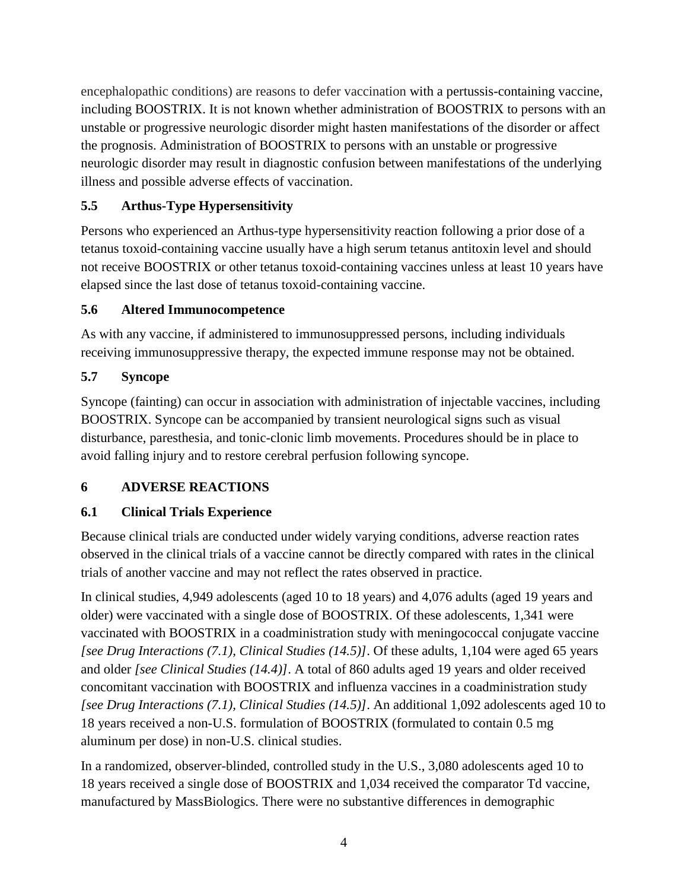encephalopathic conditions) are reasons to defer vaccination with a pertussis-containing vaccine, including BOOSTRIX. It is not known whether administration of BOOSTRIX to persons with an unstable or progressive neurologic disorder might hasten manifestations of the disorder or affect the prognosis. Administration of BOOSTRIX to persons with an unstable or progressive neurologic disorder may result in diagnostic confusion between manifestations of the underlying illness and possible adverse effects of vaccination.

# <span id="page-3-0"></span>**5.5 Arthus-Type Hypersensitivity**

Persons who experienced an Arthus-type hypersensitivity reaction following a prior dose of a tetanus toxoid-containing vaccine usually have a high serum tetanus antitoxin level and should not receive BOOSTRIX or other tetanus toxoid-containing vaccines unless at least 10 years have elapsed since the last dose of tetanus toxoid-containing vaccine.

## <span id="page-3-1"></span>**5.6 Altered Immunocompetence**

As with any vaccine, if administered to immunosuppressed persons, including individuals receiving immunosuppressive therapy, the expected immune response may not be obtained.

# <span id="page-3-2"></span>**5.7 Syncope**

Syncope (fainting) can occur in association with administration of injectable vaccines, including BOOSTRIX. Syncope can be accompanied by transient neurological signs such as visual disturbance, paresthesia, and tonic-clonic limb movements. Procedures should be in place to avoid falling injury and to restore cerebral perfusion following syncope.

## <span id="page-3-3"></span>**6 ADVERSE REACTIONS**

# <span id="page-3-4"></span>**6.1 Clinical Trials Experience**

Because clinical trials are conducted under widely varying conditions, adverse reaction rates observed in the clinical trials of a vaccine cannot be directly compared with rates in the clinical trials of another vaccine and may not reflect the rates observed in practice.

In clinical studies, 4,949 adolescents (aged 10 to 18 years) and 4,076 adults (aged 19 years and older) were vaccinated with a single dose of BOOSTRIX. Of these adolescents, 1,341 were vaccinated with BOOSTRIX in a coadministration study with meningococcal conjugate vaccine *[see Drug Interactions (7.1), Clinical Studies (14.5)]*. Of these adults, 1,104 were aged 65 years and older *[see Clinical Studies (14.4)]*. A total of 860 adults aged 19 years and older received concomitant vaccination with BOOSTRIX and influenza vaccines in a coadministration study *[see Drug Interactions (7.1), Clinical Studies (14.5)]*. An additional 1,092 adolescents aged 10 to 18 years received a non-U.S. formulation of BOOSTRIX (formulated to contain 0.5 mg aluminum per dose) in non-U.S. clinical studies.

In a randomized, observer-blinded, controlled study in the U.S., 3,080 adolescents aged 10 to 18 years received a single dose of BOOSTRIX and 1,034 received the comparator Td vaccine, manufactured by MassBiologics. There were no substantive differences in demographic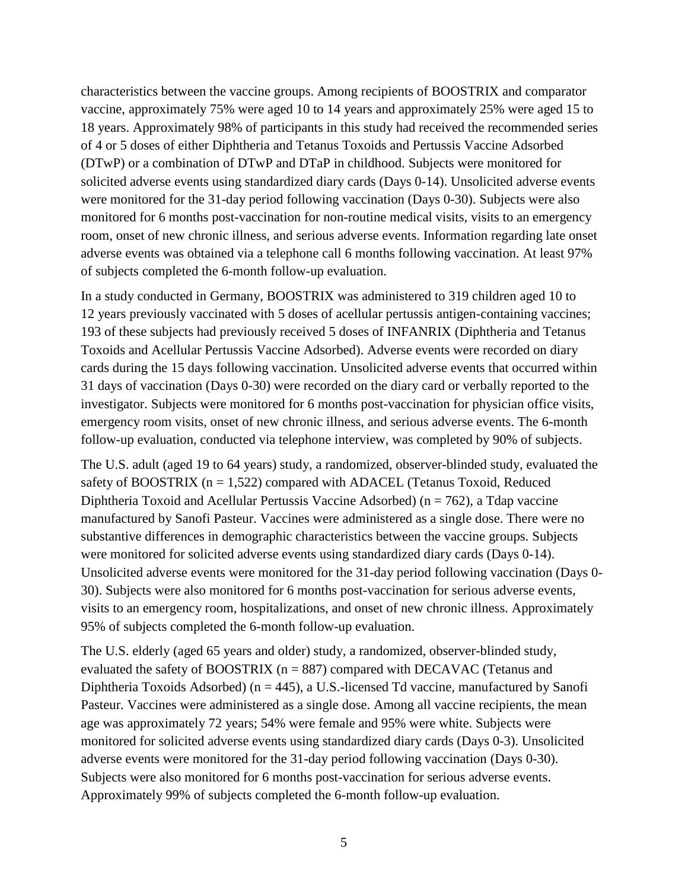characteristics between the vaccine groups. Among recipients of BOOSTRIX and comparator vaccine, approximately 75% were aged 10 to 14 years and approximately 25% were aged 15 to 18 years. Approximately 98% of participants in this study had received the recommended series of 4 or 5 doses of either Diphtheria and Tetanus Toxoids and Pertussis Vaccine Adsorbed (DTwP) or a combination of DTwP and DTaP in childhood. Subjects were monitored for solicited adverse events using standardized diary cards (Days 0-14). Unsolicited adverse events were monitored for the 31-day period following vaccination (Days 0-30). Subjects were also monitored for 6 months post-vaccination for non-routine medical visits, visits to an emergency room, onset of new chronic illness, and serious adverse events. Information regarding late onset adverse events was obtained via a telephone call 6 months following vaccination. At least 97% of subjects completed the 6-month follow-up evaluation.

In a study conducted in Germany, BOOSTRIX was administered to 319 children aged 10 to 12 years previously vaccinated with 5 doses of acellular pertussis antigen-containing vaccines; 193 of these subjects had previously received 5 doses of INFANRIX (Diphtheria and Tetanus Toxoids and Acellular Pertussis Vaccine Adsorbed). Adverse events were recorded on diary cards during the 15 days following vaccination. Unsolicited adverse events that occurred within 31 days of vaccination (Days 0-30) were recorded on the diary card or verbally reported to the investigator. Subjects were monitored for 6 months post-vaccination for physician office visits, emergency room visits, onset of new chronic illness, and serious adverse events. The 6-month follow-up evaluation, conducted via telephone interview, was completed by 90% of subjects.

The U.S. adult (aged 19 to 64 years) study, a randomized, observer-blinded study, evaluated the safety of BOOSTRIX ( $n = 1,522$ ) compared with ADACEL (Tetanus Toxoid, Reduced Diphtheria Toxoid and Acellular Pertussis Vaccine Adsorbed) ( $n = 762$ ), a Tdap vaccine manufactured by Sanofi Pasteur. Vaccines were administered as a single dose. There were no substantive differences in demographic characteristics between the vaccine groups. Subjects were monitored for solicited adverse events using standardized diary cards (Days 0-14). Unsolicited adverse events were monitored for the 31-day period following vaccination (Days 0- 30). Subjects were also monitored for 6 months post-vaccination for serious adverse events, visits to an emergency room, hospitalizations, and onset of new chronic illness. Approximately 95% of subjects completed the 6-month follow-up evaluation.

The U.S. elderly (aged 65 years and older) study, a randomized, observer-blinded study, evaluated the safety of BOOSTRIX ( $n = 887$ ) compared with DECAVAC (Tetanus and Diphtheria Toxoids Adsorbed) ( $n = 445$ ), a U.S.-licensed Td vaccine, manufactured by Sanofi Pasteur. Vaccines were administered as a single dose. Among all vaccine recipients, the mean age was approximately 72 years; 54% were female and 95% were white. Subjects were monitored for solicited adverse events using standardized diary cards (Days 0-3). Unsolicited adverse events were monitored for the 31-day period following vaccination (Days 0-30). Subjects were also monitored for 6 months post-vaccination for serious adverse events. Approximately 99% of subjects completed the 6-month follow-up evaluation.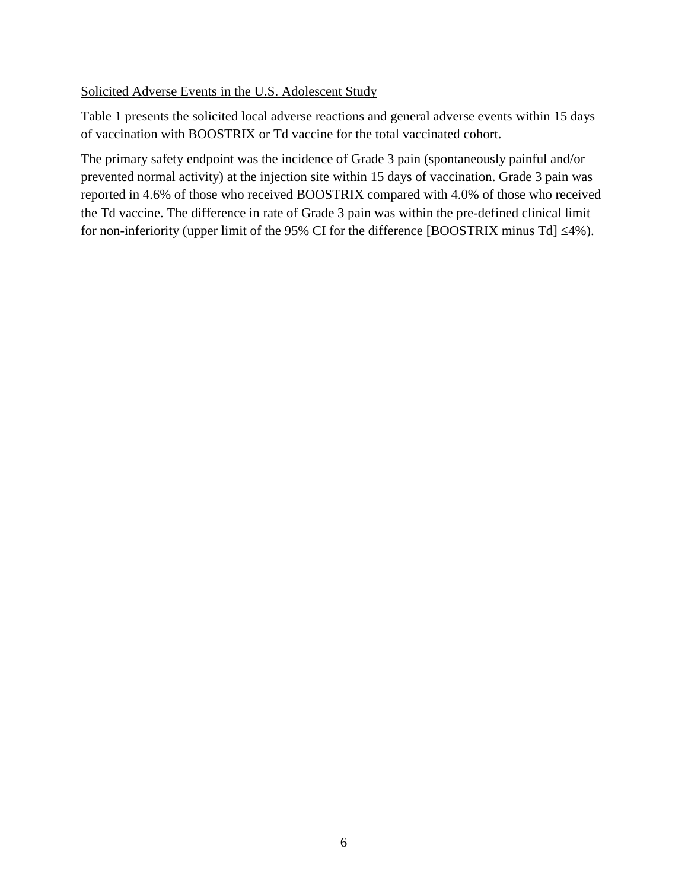Solicited Adverse Events in the U.S. Adolescent Study

Table 1 presents the solicited local adverse reactions and general adverse events within 15 days of vaccination with BOOSTRIX or Td vaccine for the total vaccinated cohort.

The primary safety endpoint was the incidence of Grade 3 pain (spontaneously painful and/or prevented normal activity) at the injection site within 15 days of vaccination. Grade 3 pain was reported in 4.6% of those who received BOOSTRIX compared with 4.0% of those who received the Td vaccine. The difference in rate of Grade 3 pain was within the pre-defined clinical limit for non-inferiority (upper limit of the 95% CI for the difference [BOOSTRIX minus Td]  $\leq 4\%$ ).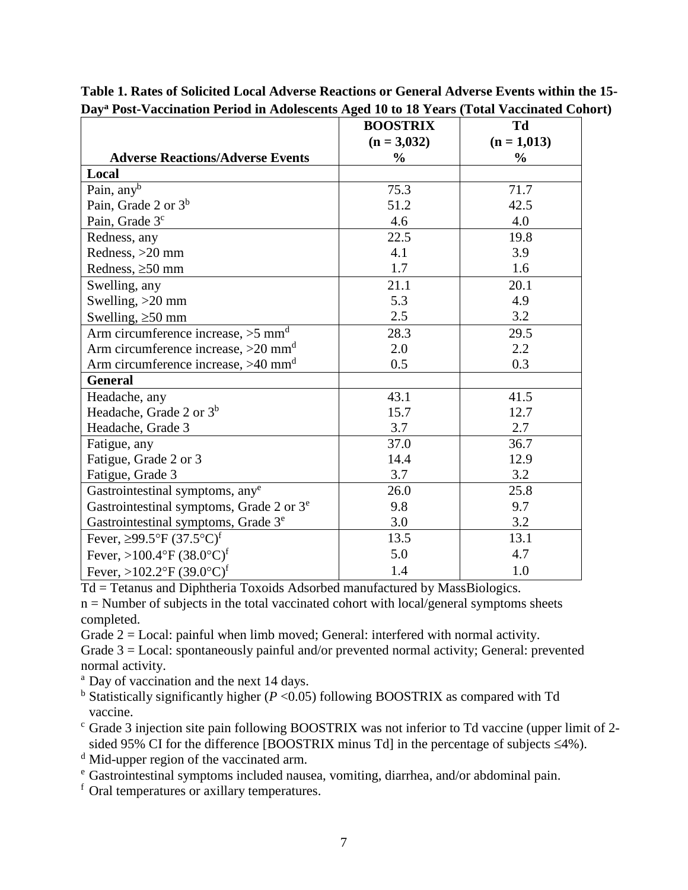|                                                      | <b>BOOSTRIX</b> | Td            |
|------------------------------------------------------|-----------------|---------------|
|                                                      | $(n = 3,032)$   | $(n = 1,013)$ |
| <b>Adverse Reactions/Adverse Events</b>              | $\frac{0}{0}$   | $\frac{0}{0}$ |
| Local                                                |                 |               |
| Pain, any <sup>b</sup>                               | 75.3            | 71.7          |
| Pain, Grade 2 or $3^b$                               | 51.2            | 42.5          |
| Pain, Grade 3 <sup>c</sup>                           | 4.6             | 4.0           |
| Redness, any                                         | 22.5            | 19.8          |
| Redness, >20 mm                                      | 4.1             | 3.9           |
| Redness, $\geq 50$ mm                                | 1.7             | 1.6           |
| Swelling, any                                        | 21.1            | 20.1          |
| Swelling, $>20$ mm                                   | 5.3             | 4.9           |
| Swelling, $\geq 50$ mm                               | 2.5             | 3.2           |
| Arm circumference increase, $>5$ mm <sup>d</sup>     | 28.3            | 29.5          |
| Arm circumference increase, $>20$ mm <sup>d</sup>    | 2.0             | 2.2           |
| Arm circumference increase, $>40$ mm <sup>d</sup>    | 0.5             | 0.3           |
| <b>General</b>                                       |                 |               |
| Headache, any                                        | 43.1            | 41.5          |
| Headache, Grade 2 or $3^b$                           | 15.7            | 12.7          |
| Headache, Grade 3                                    | 3.7             | 2.7           |
| Fatigue, any                                         | 37.0            | 36.7          |
| Fatigue, Grade 2 or 3                                | 14.4            | 12.9          |
| Fatigue, Grade 3                                     | 3.7             | 3.2           |
| Gastrointestinal symptoms, any <sup>e</sup>          | 26.0            | 25.8          |
| Gastrointestinal symptoms, Grade 2 or 3 <sup>e</sup> | 9.8             | 9.7           |
| Gastrointestinal symptoms, Grade 3 <sup>e</sup>      | 3.0             | 3.2           |
| Fever, $\geq$ 99.5°F (37.5°C) <sup>f</sup>           | 13.5            | 13.1          |
| Fever, >100.4°F $(38.0^{\circ}C)^{f}$                | 5.0             | 4.7           |
| Fever, >102.2°F (39.0°C) <sup>f</sup>                | 1.4             | 1.0           |

**Table 1. Rates of Solicited Local Adverse Reactions or General Adverse Events within the 15- Day<sup>a</sup> Post-Vaccination Period in Adolescents Aged 10 to 18 Years (Total Vaccinated Cohort)**

Td = Tetanus and Diphtheria Toxoids Adsorbed manufactured by MassBiologics.

 $n =$  Number of subjects in the total vaccinated cohort with local/general symptoms sheets completed.

Grade  $2 =$  Local: painful when limb moved; General: interfered with normal activity.

Grade 3 = Local: spontaneously painful and/or prevented normal activity; General: prevented normal activity.

<sup>a</sup> Day of vaccination and the next 14 days.

<sup>b</sup> Statistically significantly higher ( $P < 0.05$ ) following BOOSTRIX as compared with Td vaccine.

<sup>c</sup> Grade 3 injection site pain following BOOSTRIX was not inferior to Td vaccine (upper limit of 2 sided 95% CI for the difference [BOOSTRIX minus Td] in the percentage of subjects  $\leq 4\%$ ).

<sup>d</sup> Mid-upper region of the vaccinated arm.

<sup>e</sup> Gastrointestinal symptoms included nausea, vomiting, diarrhea, and/or abdominal pain.

<sup>f</sup> Oral temperatures or axillary temperatures.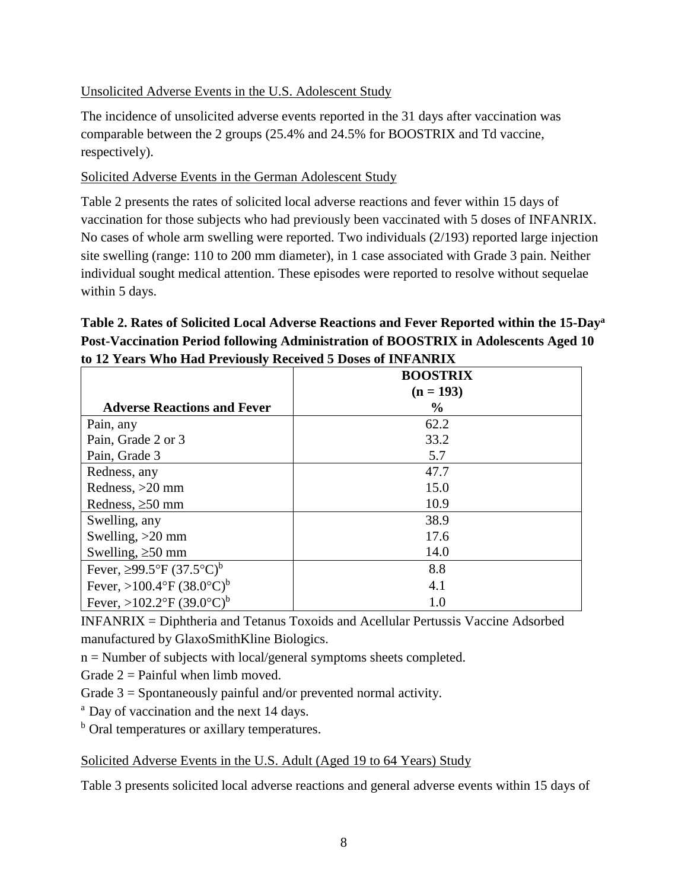Unsolicited Adverse Events in the U.S. Adolescent Study

The incidence of unsolicited adverse events reported in the 31 days after vaccination was comparable between the 2 groups (25.4% and 24.5% for BOOSTRIX and Td vaccine, respectively).

Solicited Adverse Events in the German Adolescent Study

Table 2 presents the rates of solicited local adverse reactions and fever within 15 days of vaccination for those subjects who had previously been vaccinated with 5 doses of INFANRIX. No cases of whole arm swelling were reported. Two individuals (2/193) reported large injection site swelling (range: 110 to 200 mm diameter), in 1 case associated with Grade 3 pain. Neither individual sought medical attention. These episodes were reported to resolve without sequelae within 5 days.

**Table 2. Rates of Solicited Local Adverse Reactions and Fever Reported within the 15-Day<sup>a</sup> Post-Vaccination Period following Administration of BOOSTRIX in Adolescents Aged 10 to 12 Years Who Had Previously Received 5 Doses of INFANRIX**

|                                         | <b>BOOSTRIX</b><br>$(n = 193)$ |  |
|-----------------------------------------|--------------------------------|--|
| <b>Adverse Reactions and Fever</b>      | $\%$                           |  |
| Pain, any                               | 62.2                           |  |
| Pain, Grade 2 or 3                      | 33.2                           |  |
| Pain, Grade 3                           | 5.7                            |  |
| Redness, any                            | 47.7                           |  |
| Redness, $>20$ mm                       | 15.0                           |  |
| Redness, $\geq 50$ mm                   | 10.9                           |  |
| Swelling, any                           | 38.9                           |  |
| Swelling, $>20$ mm                      | 17.6                           |  |
| Swelling, $\geq 50$ mm                  | 14.0                           |  |
| Fever, ≥99.5°F $(37.5$ °C) <sup>b</sup> | 8.8                            |  |
| Fever, >100.4°F $(38.0^{\circ}C)^{b}$   | 4.1                            |  |
| Fever, >102.2°F (39.0°C) <sup>b</sup>   | 1.0                            |  |

INFANRIX = Diphtheria and Tetanus Toxoids and Acellular Pertussis Vaccine Adsorbed manufactured by GlaxoSmithKline Biologics.

n = Number of subjects with local/general symptoms sheets completed.

Grade  $2 =$  Painful when limb moved.

Grade 3 = Spontaneously painful and/or prevented normal activity.

<sup>a</sup> Day of vaccination and the next 14 days.

**b** Oral temperatures or axillary temperatures.

Solicited Adverse Events in the U.S. Adult (Aged 19 to 64 Years) Study

Table 3 presents solicited local adverse reactions and general adverse events within 15 days of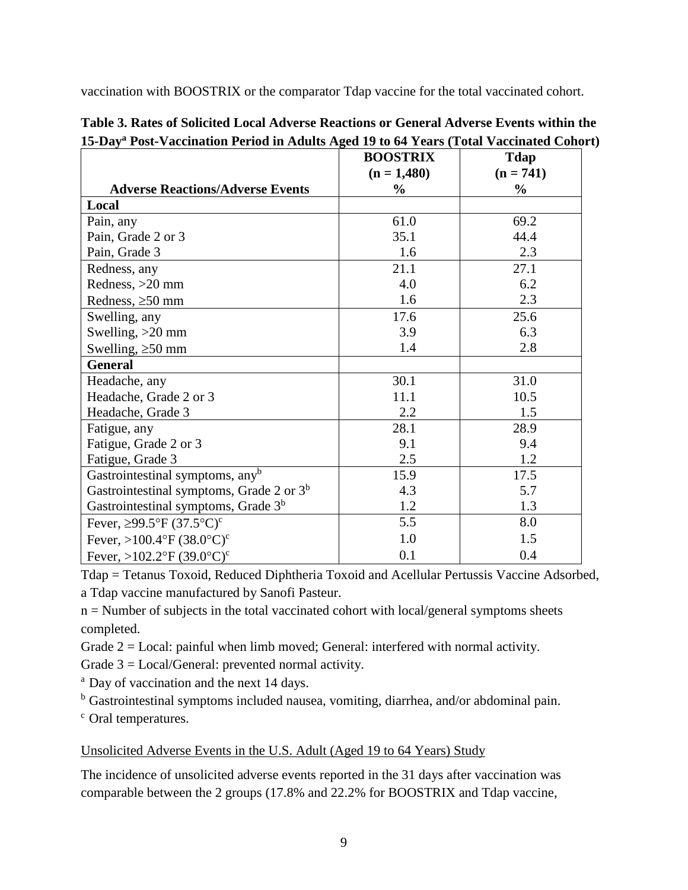vaccination with BOOSTRIX or the comparator Tdap vaccine for the total vaccinated cohort.

|                                                 | <b>BOOSTRIX</b> | <b>Tdap</b>   |
|-------------------------------------------------|-----------------|---------------|
|                                                 | $(n = 1,480)$   | $(n = 741)$   |
| <b>Adverse Reactions/Adverse Events</b>         | $\frac{0}{0}$   | $\frac{6}{9}$ |
| Local                                           |                 |               |
| Pain, any                                       | 61.0            | 69.2          |
| Pain, Grade 2 or 3                              | 35.1            | 44.4          |
| Pain, Grade 3                                   | 1.6             | 2.3           |
| Redness, any                                    | 21.1            | 27.1          |
| Redness, >20 mm                                 | 4.0             | 6.2           |
| Redness, $\geq 50$ mm                           | 1.6             | 2.3           |
| Swelling, any                                   | 17.6            | 25.6          |
| Swelling, $>20$ mm                              | 3.9             | 6.3           |
| Swelling, $\geq 50$ mm                          | 1.4             | 2.8           |
| <b>General</b>                                  |                 |               |
| Headache, any                                   | 30.1            | 31.0          |
| Headache, Grade 2 or 3                          | 11.1            | 10.5          |
| Headache, Grade 3                               | 2.2             | 1.5           |
| Fatigue, any                                    | 28.1            | 28.9          |
| Fatigue, Grade 2 or 3                           | 9.1             | 9.4           |
| Fatigue, Grade 3                                | 2.5             | 1.2           |
| Gastrointestinal symptoms, any <sup>b</sup>     | 15.9            | 17.5          |
| Gastrointestinal symptoms, Grade 2 or $3b$      | 4.3             | 5.7           |
| Gastrointestinal symptoms, Grade 3 <sup>b</sup> | 1.2             | 1.3           |
| Fever, $\geq$ 99.5°F (37.5°C) <sup>c</sup>      | 5.5             | 8.0           |
| Fever, >100.4°F $(38.0$ °C) <sup>c</sup>        | 1.0             | 1.5           |
| Fever, >102.2°F $(39.0^{\circ}C)^{c}$           | 0.1             | 0.4           |

**Table 3. Rates of Solicited Local Adverse Reactions or General Adverse Events within the 15-Day<sup>a</sup> Post-Vaccination Period in Adults Aged 19 to 64 Years (Total Vaccinated Cohort)**

Tdap = Tetanus Toxoid, Reduced Diphtheria Toxoid and Acellular Pertussis Vaccine Adsorbed, a Tdap vaccine manufactured by Sanofi Pasteur.

n = Number of subjects in the total vaccinated cohort with local/general symptoms sheets completed.

Grade 2 = Local: painful when limb moved; General: interfered with normal activity.

Grade 3 = Local/General: prevented normal activity.

<sup>a</sup> Day of vaccination and the next 14 days.

<sup>b</sup> Gastrointestinal symptoms included nausea, vomiting, diarrhea, and/or abdominal pain.

<sup>c</sup> Oral temperatures.

## Unsolicited Adverse Events in the U.S. Adult (Aged 19 to 64 Years) Study

The incidence of unsolicited adverse events reported in the 31 days after vaccination was comparable between the 2 groups (17.8% and 22.2% for BOOSTRIX and Tdap vaccine,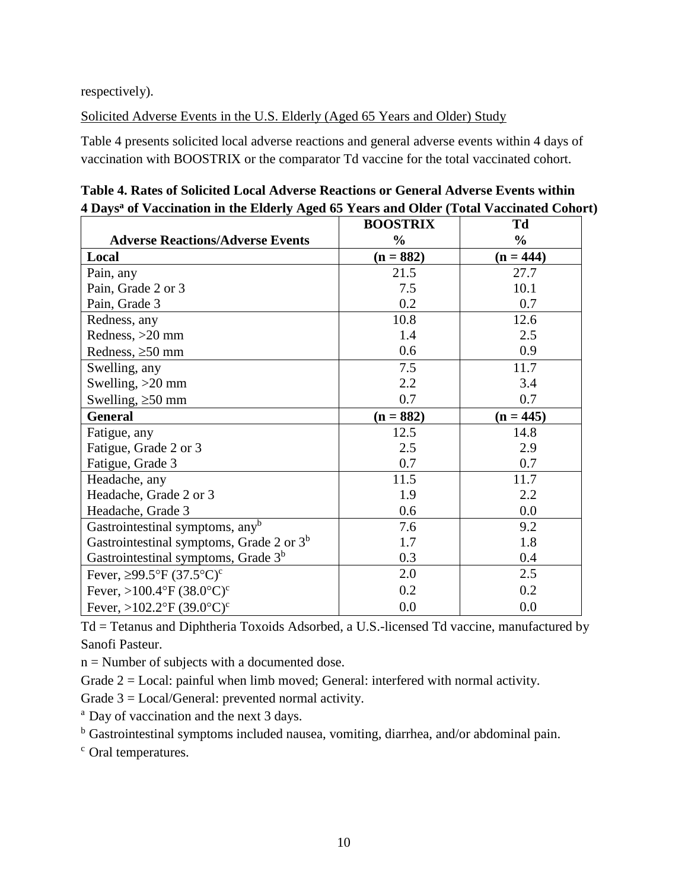respectively).

Solicited Adverse Events in the U.S. Elderly (Aged 65 Years and Older) Study

Table 4 presents solicited local adverse reactions and general adverse events within 4 days of vaccination with BOOSTRIX or the comparator Td vaccine for the total vaccinated cohort.

|                                                 | <b>BOOSTRIX</b> | Td            |
|-------------------------------------------------|-----------------|---------------|
| <b>Adverse Reactions/Adverse Events</b>         | $\frac{0}{0}$   | $\frac{0}{0}$ |
| Local                                           | $(n = 882)$     | $(n = 444)$   |
| Pain, any                                       | 21.5            | 27.7          |
| Pain, Grade 2 or 3                              | 7.5             | 10.1          |
| Pain, Grade 3                                   | 0.2             | 0.7           |
| Redness, any                                    | 10.8            | 12.6          |
| Redness, >20 mm                                 | 1.4             | 2.5           |
| Redness, $\geq 50$ mm                           | 0.6             | 0.9           |
| Swelling, any                                   | 7.5             | 11.7          |
| Swelling, $>20$ mm                              | 2.2             | 3.4           |
| Swelling, $\geq 50$ mm                          | 0.7             | 0.7           |
| <b>General</b>                                  | $(n = 882)$     | $(n = 445)$   |
| Fatigue, any                                    | 12.5            | 14.8          |
| Fatigue, Grade 2 or 3                           | 2.5             | 2.9           |
| Fatigue, Grade 3                                | 0.7             | 0.7           |
| Headache, any                                   | 11.5            | 11.7          |
| Headache, Grade 2 or 3                          | 1.9             | 2.2           |
| Headache, Grade 3                               | 0.6             | 0.0           |
| Gastrointestinal symptoms, any <sup>b</sup>     | 7.6             | 9.2           |
| Gastrointestinal symptoms, Grade 2 or $3^b$     | 1.7             | 1.8           |
| Gastrointestinal symptoms, Grade 3 <sup>b</sup> | 0.3             | 0.4           |
| Fever, $\geq$ 99.5°F (37.5°C) <sup>c</sup>      | 2.0             | 2.5           |
| Fever, >100.4°F $(38.0^{\circ}C)^{c}$           | 0.2             | 0.2           |
| Fever, >102.2°F $(39.0^{\circ}C)^{c}$           | 0.0             | 0.0           |

**Table 4. Rates of Solicited Local Adverse Reactions or General Adverse Events within 4 Days<sup>a</sup> of Vaccination in the Elderly Aged 65 Years and Older (Total Vaccinated Cohort)**

Td = Tetanus and Diphtheria Toxoids Adsorbed, a U.S.-licensed Td vaccine, manufactured by Sanofi Pasteur.

 $n =$  Number of subjects with a documented dose.

Grade  $2 =$  Local: painful when limb moved; General: interfered with normal activity.

Grade 3 = Local/General: prevented normal activity.

<sup>a</sup> Day of vaccination and the next 3 days.

<sup>b</sup> Gastrointestinal symptoms included nausea, vomiting, diarrhea, and/or abdominal pain.

<sup>c</sup> Oral temperatures.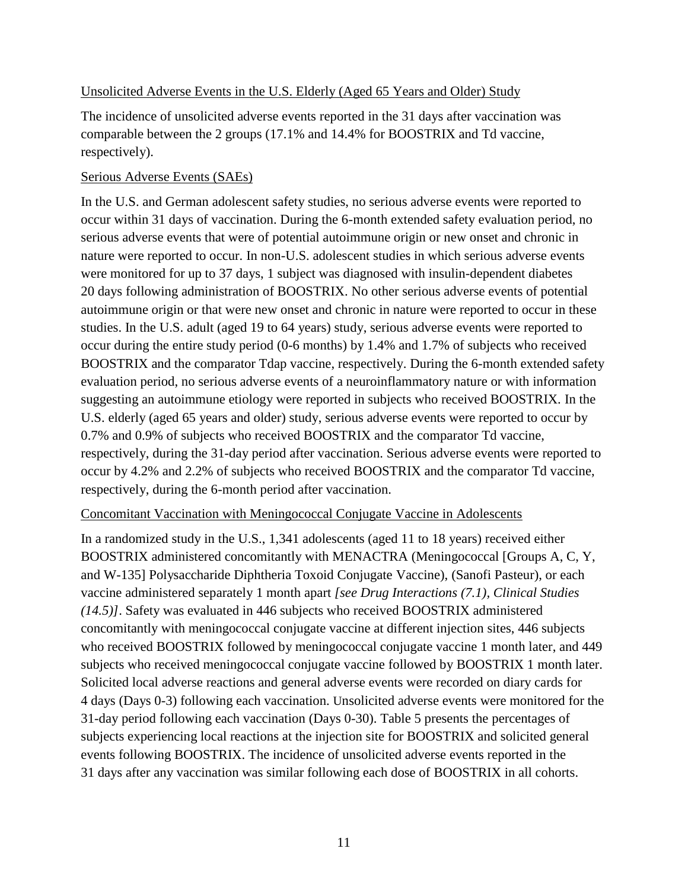#### Unsolicited Adverse Events in the U.S. Elderly (Aged 65 Years and Older) Study

The incidence of unsolicited adverse events reported in the 31 days after vaccination was comparable between the 2 groups (17.1% and 14.4% for BOOSTRIX and Td vaccine, respectively).

#### Serious Adverse Events (SAEs)

In the U.S. and German adolescent safety studies, no serious adverse events were reported to occur within 31 days of vaccination. During the 6-month extended safety evaluation period, no serious adverse events that were of potential autoimmune origin or new onset and chronic in nature were reported to occur. In non-U.S. adolescent studies in which serious adverse events were monitored for up to 37 days, 1 subject was diagnosed with insulin-dependent diabetes 20 days following administration of BOOSTRIX. No other serious adverse events of potential autoimmune origin or that were new onset and chronic in nature were reported to occur in these studies. In the U.S. adult (aged 19 to 64 years) study, serious adverse events were reported to occur during the entire study period (0-6 months) by 1.4% and 1.7% of subjects who received BOOSTRIX and the comparator Tdap vaccine, respectively. During the 6-month extended safety evaluation period, no serious adverse events of a neuroinflammatory nature or with information suggesting an autoimmune etiology were reported in subjects who received BOOSTRIX. In the U.S. elderly (aged 65 years and older) study, serious adverse events were reported to occur by 0.7% and 0.9% of subjects who received BOOSTRIX and the comparator Td vaccine, respectively, during the 31-day period after vaccination. Serious adverse events were reported to occur by 4.2% and 2.2% of subjects who received BOOSTRIX and the comparator Td vaccine, respectively, during the 6-month period after vaccination.

#### Concomitant Vaccination with Meningococcal Conjugate Vaccine in Adolescents

In a randomized study in the U.S., 1,341 adolescents (aged 11 to 18 years) received either BOOSTRIX administered concomitantly with MENACTRA (Meningococcal [Groups A, C, Y, and W-135] Polysaccharide Diphtheria Toxoid Conjugate Vaccine), (Sanofi Pasteur), or each vaccine administered separately 1 month apart *[see Drug Interactions (7.1), Clinical Studies (14.5)]*. Safety was evaluated in 446 subjects who received BOOSTRIX administered concomitantly with meningococcal conjugate vaccine at different injection sites, 446 subjects who received BOOSTRIX followed by meningococcal conjugate vaccine 1 month later, and 449 subjects who received meningococcal conjugate vaccine followed by BOOSTRIX 1 month later. Solicited local adverse reactions and general adverse events were recorded on diary cards for 4 days (Days 0-3) following each vaccination. Unsolicited adverse events were monitored for the 31-day period following each vaccination (Days 0-30). Table 5 presents the percentages of subjects experiencing local reactions at the injection site for BOOSTRIX and solicited general events following BOOSTRIX. The incidence of unsolicited adverse events reported in the 31 days after any vaccination was similar following each dose of BOOSTRIX in all cohorts.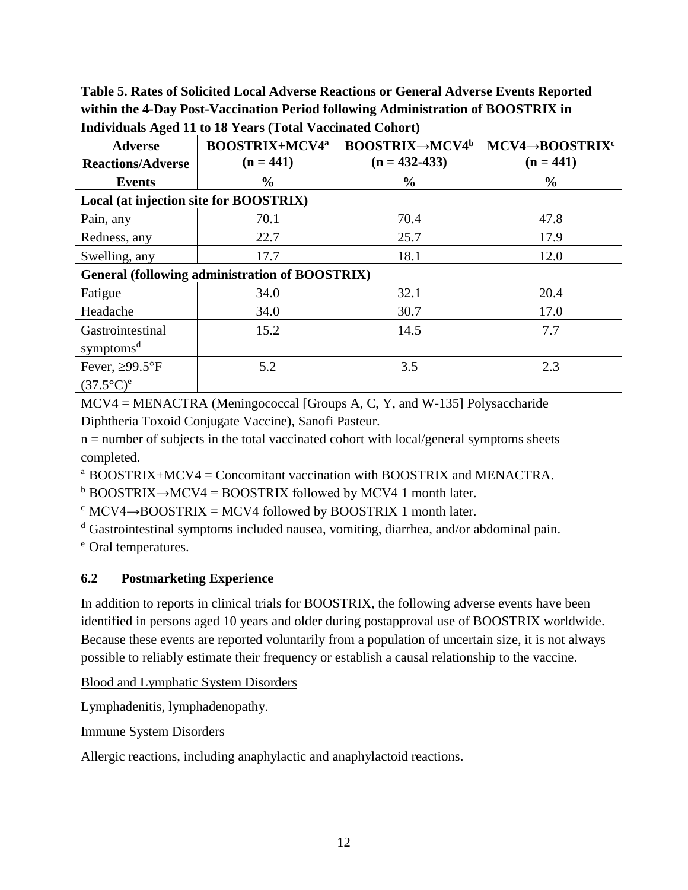**Table 5. Rates of Solicited Local Adverse Reactions or General Adverse Events Reported within the 4-Day Post-Vaccination Period following Administration of BOOSTRIX in** 

| <b>Adverse</b><br><b>Reactions/Adverse</b>     | <b>BOOSTRIX+MCV4<sup>a</sup></b><br>$(n = 441)$ | <b>BOOSTRIX→MCV4<sup>b</sup></b><br>$(n = 432 - 433)$ | MCV4→BOOSTRIX <sup>c</sup><br>$(n = 441)$ |  |
|------------------------------------------------|-------------------------------------------------|-------------------------------------------------------|-------------------------------------------|--|
| <b>Events</b>                                  | $\%$                                            | $\frac{0}{0}$                                         | $\frac{0}{0}$                             |  |
| Local (at injection site for BOOSTRIX)         |                                                 |                                                       |                                           |  |
| Pain, any                                      | 70.1                                            | 70.4                                                  | 47.8                                      |  |
| Redness, any                                   | 22.7                                            | 25.7                                                  | 17.9                                      |  |
| Swelling, any                                  | 17.7                                            | 18.1                                                  | 12.0                                      |  |
| General (following administration of BOOSTRIX) |                                                 |                                                       |                                           |  |
| Fatigue                                        | 34.0                                            | 32.1                                                  | 20.4                                      |  |
| Headache                                       | 34.0                                            | 30.7                                                  | 17.0                                      |  |
| Gastrointestinal                               | 15.2                                            | 14.5                                                  | 7.7                                       |  |
| symptoms <sup>d</sup>                          |                                                 |                                                       |                                           |  |
| Fever, $\geq$ 99.5°F                           | 5.2                                             | 3.5                                                   | 2.3                                       |  |
| $(37.5^{\circ}C)^e$                            |                                                 |                                                       |                                           |  |

**Individuals Aged 11 to 18 Years (Total Vaccinated Cohort)**

MCV4 = MENACTRA (Meningococcal [Groups A, C, Y, and W-135] Polysaccharide Diphtheria Toxoid Conjugate Vaccine), Sanofi Pasteur.

 $n =$  number of subjects in the total vaccinated cohort with local/general symptoms sheets completed.

 $a$  BOOSTRIX+MCV4 = Concomitant vaccination with BOOSTRIX and MENACTRA.

 $b$  BOOSTRIX→MCV4 = BOOSTRIX followed by MCV4 1 month later.

 $c$  MCV4 $\rightarrow$ BOOSTRIX = MCV4 followed by BOOSTRIX 1 month later.

<sup>d</sup> Gastrointestinal symptoms included nausea, vomiting, diarrhea, and/or abdominal pain.

<sup>e</sup> Oral temperatures.

## <span id="page-11-0"></span>**6.2 Postmarketing Experience**

In addition to reports in clinical trials for BOOSTRIX, the following adverse events have been identified in persons aged 10 years and older during postapproval use of BOOSTRIX worldwide. Because these events are reported voluntarily from a population of uncertain size, it is not always possible to reliably estimate their frequency or establish a causal relationship to the vaccine.

Blood and Lymphatic System Disorders

Lymphadenitis, lymphadenopathy.

Immune System Disorders

Allergic reactions, including anaphylactic and anaphylactoid reactions.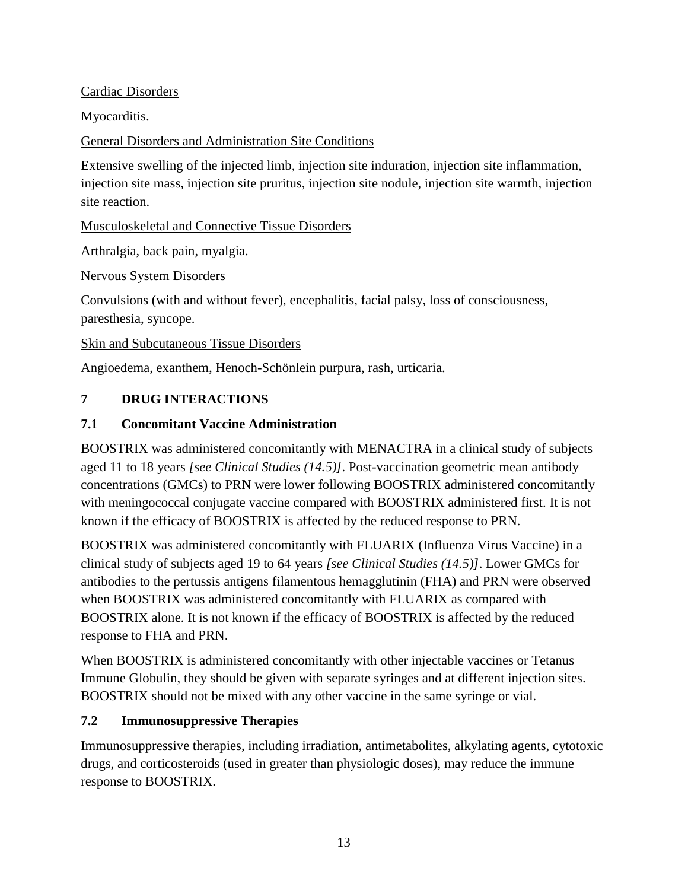#### Cardiac Disorders

Myocarditis.

General Disorders and Administration Site Conditions

Extensive swelling of the injected limb, injection site induration, injection site inflammation, injection site mass, injection site pruritus, injection site nodule, injection site warmth, injection site reaction.

Musculoskeletal and Connective Tissue Disorders

Arthralgia, back pain, myalgia.

Nervous System Disorders

Convulsions (with and without fever), encephalitis, facial palsy, loss of consciousness, paresthesia, syncope.

Skin and Subcutaneous Tissue Disorders

<span id="page-12-0"></span>Angioedema, exanthem, Henoch-Schönlein purpura, rash, urticaria.

# **7 DRUG INTERACTIONS**

#### <span id="page-12-1"></span>**7.1 Concomitant Vaccine Administration**

BOOSTRIX was administered concomitantly with MENACTRA in a clinical study of subjects aged 11 to 18 years *[see Clinical Studies (14.5)]*. Post-vaccination geometric mean antibody concentrations (GMCs) to PRN were lower following BOOSTRIX administered concomitantly with meningococcal conjugate vaccine compared with BOOSTRIX administered first. It is not known if the efficacy of BOOSTRIX is affected by the reduced response to PRN.

BOOSTRIX was administered concomitantly with FLUARIX (Influenza Virus Vaccine) in a clinical study of subjects aged 19 to 64 years *[see Clinical Studies (14.5)]*. Lower GMCs for antibodies to the pertussis antigens filamentous hemagglutinin (FHA) and PRN were observed when BOOSTRIX was administered concomitantly with FLUARIX as compared with BOOSTRIX alone. It is not known if the efficacy of BOOSTRIX is affected by the reduced response to FHA and PRN.

When BOOSTRIX is administered concomitantly with other injectable vaccines or Tetanus Immune Globulin, they should be given with separate syringes and at different injection sites. BOOSTRIX should not be mixed with any other vaccine in the same syringe or vial.

## <span id="page-12-2"></span>**7.2 Immunosuppressive Therapies**

Immunosuppressive therapies, including irradiation, antimetabolites, alkylating agents, cytotoxic drugs, and corticosteroids (used in greater than physiologic doses), may reduce the immune response to BOOSTRIX.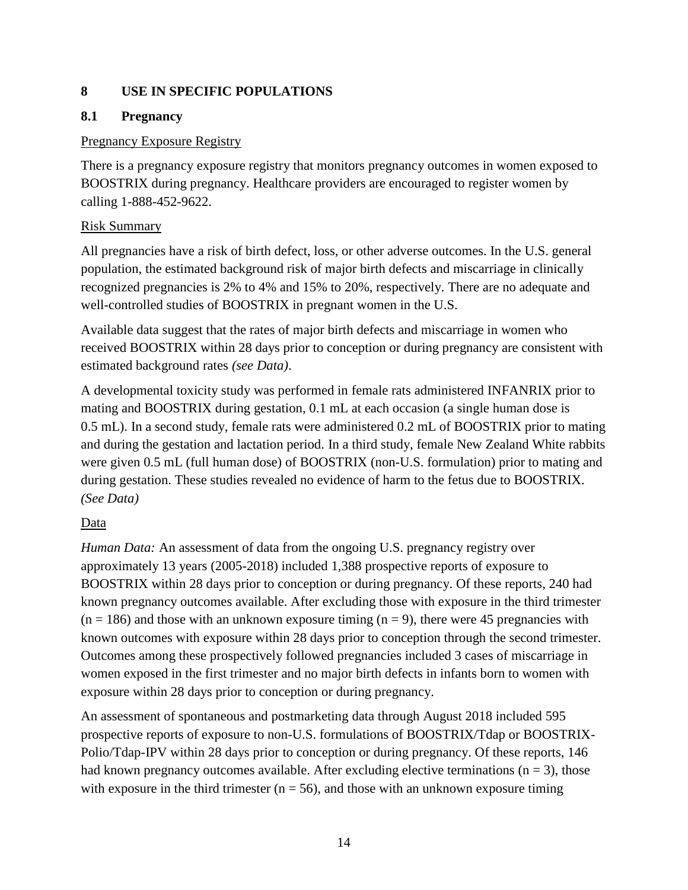#### <span id="page-13-0"></span>**8 USE IN SPECIFIC POPULATIONS**

#### <span id="page-13-1"></span>**8.1 Pregnancy**

#### Pregnancy Exposure Registry

There is a pregnancy exposure registry that monitors pregnancy outcomes in women exposed to BOOSTRIX during pregnancy. Healthcare providers are encouraged to register women by calling 1-888-452-9622.

#### Risk Summary

All pregnancies have a risk of birth defect, loss, or other adverse outcomes. In the U.S. general population, the estimated background risk of major birth defects and miscarriage in clinically recognized pregnancies is 2% to 4% and 15% to 20%, respectively. There are no adequate and well-controlled studies of BOOSTRIX in pregnant women in the U.S.

Available data suggest that the rates of major birth defects and miscarriage in women who received BOOSTRIX within 28 days prior to conception or during pregnancy are consistent with estimated background rates *(see Data)*.

A developmental toxicity study was performed in female rats administered INFANRIX prior to mating and BOOSTRIX during gestation, 0.1 mL at each occasion (a single human dose is 0.5 mL). In a second study, female rats were administered 0.2 mL of BOOSTRIX prior to mating and during the gestation and lactation period. In a third study, female New Zealand White rabbits were given 0.5 mL (full human dose) of BOOSTRIX (non-U.S. formulation) prior to mating and during gestation. These studies revealed no evidence of harm to the fetus due to BOOSTRIX. *(See Data)*

## Data

*Human Data:* An assessment of data from the ongoing U.S. pregnancy registry over approximately 13 years (2005-2018) included 1,388 prospective reports of exposure to BOOSTRIX within 28 days prior to conception or during pregnancy. Of these reports, 240 had known pregnancy outcomes available. After excluding those with exposure in the third trimester  $(n = 186)$  and those with an unknown exposure timing  $(n = 9)$ , there were 45 pregnancies with known outcomes with exposure within 28 days prior to conception through the second trimester. Outcomes among these prospectively followed pregnancies included 3 cases of miscarriage in women exposed in the first trimester and no major birth defects in infants born to women with exposure within 28 days prior to conception or during pregnancy.

An assessment of spontaneous and postmarketing data through August 2018 included 595 prospective reports of exposure to non-U.S. formulations of BOOSTRIX/Tdap or BOOSTRIX-Polio/Tdap-IPV within 28 days prior to conception or during pregnancy. Of these reports, 146 had known pregnancy outcomes available. After excluding elective terminations ( $n = 3$ ), those with exposure in the third trimester ( $n = 56$ ), and those with an unknown exposure timing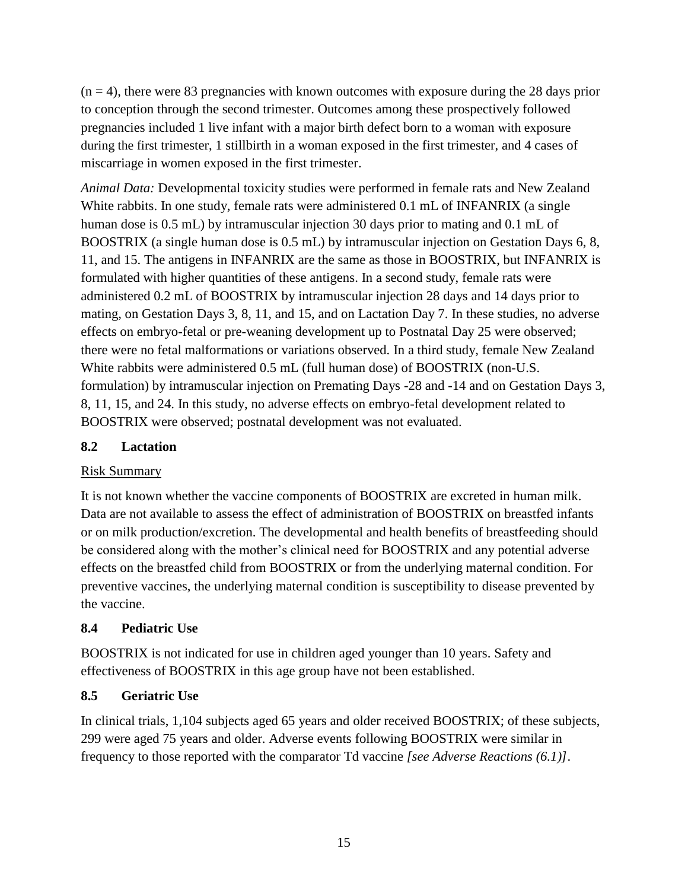$(n = 4)$ , there were 83 pregnancies with known outcomes with exposure during the 28 days prior to conception through the second trimester. Outcomes among these prospectively followed pregnancies included 1 live infant with a major birth defect born to a woman with exposure during the first trimester, 1 stillbirth in a woman exposed in the first trimester, and 4 cases of miscarriage in women exposed in the first trimester.

*Animal Data:* Developmental toxicity studies were performed in female rats and New Zealand White rabbits. In one study, female rats were administered 0.1 mL of INFANRIX (a single human dose is 0.5 mL) by intramuscular injection 30 days prior to mating and 0.1 mL of BOOSTRIX (a single human dose is 0.5 mL) by intramuscular injection on Gestation Days 6, 8, 11, and 15. The antigens in INFANRIX are the same as those in BOOSTRIX, but INFANRIX is formulated with higher quantities of these antigens. In a second study, female rats were administered 0.2 mL of BOOSTRIX by intramuscular injection 28 days and 14 days prior to mating, on Gestation Days 3, 8, 11, and 15, and on Lactation Day 7. In these studies, no adverse effects on embryo-fetal or pre-weaning development up to Postnatal Day 25 were observed; there were no fetal malformations or variations observed. In a third study, female New Zealand White rabbits were administered 0.5 mL (full human dose) of BOOSTRIX (non-U.S. formulation) by intramuscular injection on Premating Days -28 and -14 and on Gestation Days 3, 8, 11, 15, and 24. In this study, no adverse effects on embryo-fetal development related to BOOSTRIX were observed; postnatal development was not evaluated.

#### <span id="page-14-0"></span>**8.2 Lactation**

#### Risk Summary

It is not known whether the vaccine components of BOOSTRIX are excreted in human milk. Data are not available to assess the effect of administration of BOOSTRIX on breastfed infants or on milk production/excretion. The developmental and health benefits of breastfeeding should be considered along with the mother's clinical need for BOOSTRIX and any potential adverse effects on the breastfed child from BOOSTRIX or from the underlying maternal condition. For preventive vaccines, the underlying maternal condition is susceptibility to disease prevented by the vaccine.

## <span id="page-14-1"></span>**8.4 Pediatric Use**

BOOSTRIX is not indicated for use in children aged younger than 10 years. Safety and effectiveness of BOOSTRIX in this age group have not been established.

#### <span id="page-14-2"></span>**8.5 Geriatric Use**

In clinical trials, 1,104 subjects aged 65 years and older received BOOSTRIX; of these subjects, 299 were aged 75 years and older. Adverse events following BOOSTRIX were similar in frequency to those reported with the comparator Td vaccine *[see Adverse Reactions (6.1)]*.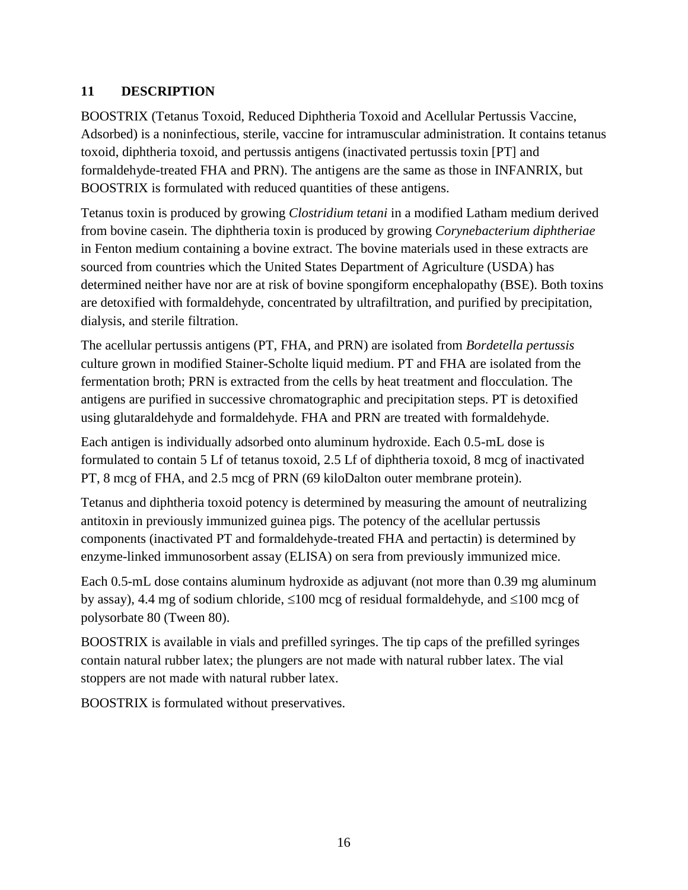#### <span id="page-15-0"></span>**11 DESCRIPTION**

BOOSTRIX (Tetanus Toxoid, Reduced Diphtheria Toxoid and Acellular Pertussis Vaccine, Adsorbed) is a noninfectious, sterile, vaccine for intramuscular administration. It contains tetanus toxoid, diphtheria toxoid, and pertussis antigens (inactivated pertussis toxin [PT] and formaldehyde-treated FHA and PRN). The antigens are the same as those in INFANRIX, but BOOSTRIX is formulated with reduced quantities of these antigens.

Tetanus toxin is produced by growing *Clostridium tetani* in a modified Latham medium derived from bovine casein. The diphtheria toxin is produced by growing *Corynebacterium diphtheriae* in Fenton medium containing a bovine extract. The bovine materials used in these extracts are sourced from countries which the United States Department of Agriculture (USDA) has determined neither have nor are at risk of bovine spongiform encephalopathy (BSE). Both toxins are detoxified with formaldehyde, concentrated by ultrafiltration, and purified by precipitation, dialysis, and sterile filtration.

The acellular pertussis antigens (PT, FHA, and PRN) are isolated from *Bordetella pertussis* culture grown in modified Stainer-Scholte liquid medium. PT and FHA are isolated from the fermentation broth; PRN is extracted from the cells by heat treatment and flocculation. The antigens are purified in successive chromatographic and precipitation steps. PT is detoxified using glutaraldehyde and formaldehyde. FHA and PRN are treated with formaldehyde.

Each antigen is individually adsorbed onto aluminum hydroxide. Each 0.5-mL dose is formulated to contain 5 Lf of tetanus toxoid, 2.5 Lf of diphtheria toxoid, 8 mcg of inactivated PT, 8 mcg of FHA, and 2.5 mcg of PRN (69 kiloDalton outer membrane protein).

Tetanus and diphtheria toxoid potency is determined by measuring the amount of neutralizing antitoxin in previously immunized guinea pigs. The potency of the acellular pertussis components (inactivated PT and formaldehyde-treated FHA and pertactin) is determined by enzyme-linked immunosorbent assay (ELISA) on sera from previously immunized mice.

Each 0.5-mL dose contains aluminum hydroxide as adjuvant (not more than 0.39 mg aluminum by assay), 4.4 mg of sodium chloride,  $\leq 100$  mcg of residual formaldehyde, and  $\leq 100$  mcg of polysorbate 80 (Tween 80).

BOOSTRIX is available in vials and prefilled syringes. The tip caps of the prefilled syringes contain natural rubber latex; the plungers are not made with natural rubber latex. The vial stoppers are not made with natural rubber latex.

BOOSTRIX is formulated without preservatives.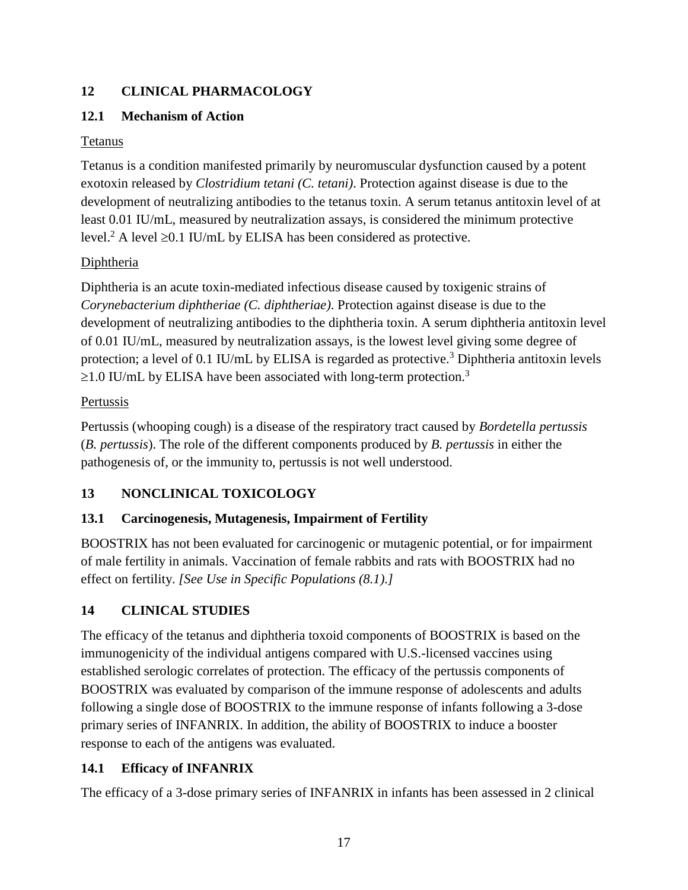# <span id="page-16-0"></span>**12 CLINICAL PHARMACOLOGY**

#### <span id="page-16-1"></span>**12.1 Mechanism of Action**

#### Tetanus

Tetanus is a condition manifested primarily by neuromuscular dysfunction caused by a potent exotoxin released by *Clostridium tetani (C. tetani)*. Protection against disease is due to the development of neutralizing antibodies to the tetanus toxin. A serum tetanus antitoxin level of at least 0.01 IU/mL, measured by neutralization assays, is considered the minimum protective level.<sup>2</sup> A level  $\geq$ 0.1 IU/mL by ELISA has been considered as protective.

## **Diphtheria**

Diphtheria is an acute toxin-mediated infectious disease caused by toxigenic strains of *Corynebacterium diphtheriae (C. diphtheriae)*. Protection against disease is due to the development of neutralizing antibodies to the diphtheria toxin. A serum diphtheria antitoxin level of 0.01 IU/mL, measured by neutralization assays, is the lowest level giving some degree of protection; a level of 0.1 IU/mL by ELISA is regarded as protective.<sup>3</sup> Diphtheria antitoxin levels  $\geq$ 1.0 IU/mL by ELISA have been associated with long-term protection.<sup>3</sup>

#### Pertussis

Pertussis (whooping cough) is a disease of the respiratory tract caused by *[Bordetella](https://www.google.com/url?sa=t&rct=j&q=&esrc=s&source=web&cd=2&ved=2ahUKEwj4w_u9zezcAhVnn-AKHYN5DBoQygQwAXoECAUQBg&url=https%3A%2F%2Fwww.cdc.gov%2Fpertussis%2Fclinical%2Fdisease-specifics.html%23bordetella&usg=AOvVaw1QrHkSJWB97ainiDGDmdPx) pertussis*  (*B. pertussis*). The role of the different components produced by *B. pertussis* in either the pathogenesis of, or the immunity to, pertussis is not well understood.

## <span id="page-16-2"></span>**13 NONCLINICAL TOXICOLOGY**

## <span id="page-16-3"></span>**13.1 Carcinogenesis, Mutagenesis, Impairment of Fertility**

BOOSTRIX has not been evaluated for carcinogenic or mutagenic potential, or for impairment of male fertility in animals. Vaccination of female rabbits and rats with BOOSTRIX had no effect on fertility. *[See Use in Specific Populations (8.1).]*

## <span id="page-16-4"></span>**14 CLINICAL STUDIES**

The efficacy of the tetanus and diphtheria toxoid components of BOOSTRIX is based on the immunogenicity of the individual antigens compared with U.S.-licensed vaccines using established serologic correlates of protection. The efficacy of the pertussis components of BOOSTRIX was evaluated by comparison of the immune response of adolescents and adults following a single dose of BOOSTRIX to the immune response of infants following a 3-dose primary series of INFANRIX. In addition, the ability of BOOSTRIX to induce a booster response to each of the antigens was evaluated.

## <span id="page-16-5"></span>**14.1 Efficacy of INFANRIX**

The efficacy of a 3-dose primary series of INFANRIX in infants has been assessed in 2 clinical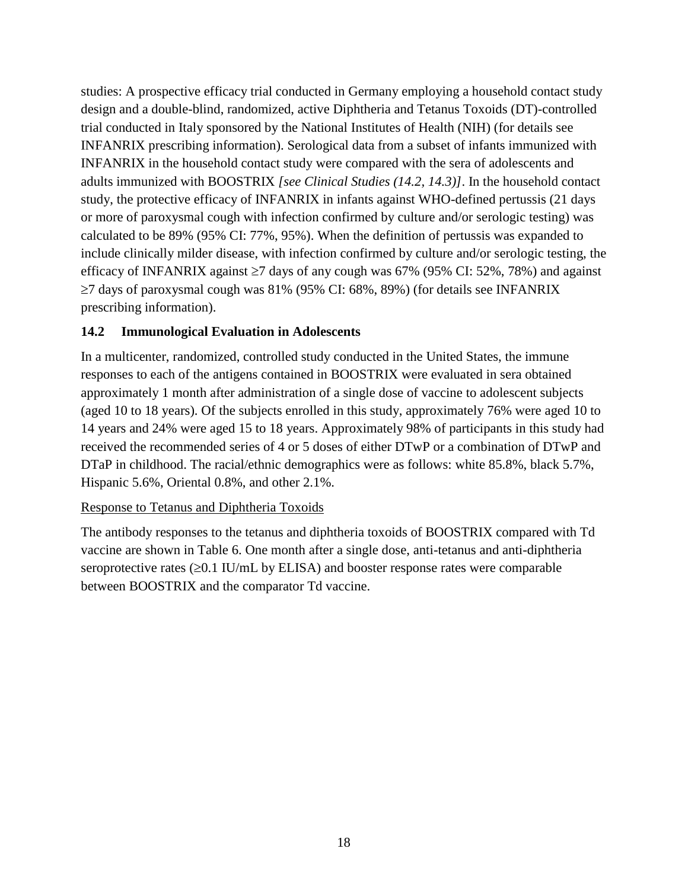studies: A prospective efficacy trial conducted in Germany employing a household contact study design and a double-blind, randomized, active Diphtheria and Tetanus Toxoids (DT)-controlled trial conducted in Italy sponsored by the National Institutes of Health (NIH) (for details see INFANRIX prescribing information). Serological data from a subset of infants immunized with INFANRIX in the household contact study were compared with the sera of adolescents and adults immunized with BOOSTRIX *[see Clinical Studies (14.2, 14.3)]*. In the household contact study, the protective efficacy of INFANRIX in infants against WHO-defined pertussis (21 days or more of paroxysmal cough with infection confirmed by culture and/or serologic testing) was calculated to be 89% (95% CI: 77%, 95%). When the definition of pertussis was expanded to include clinically milder disease, with infection confirmed by culture and/or serologic testing, the efficacy of INFANRIX against  $\geq 7$  days of any cough was 67% (95% CI: 52%, 78%) and against  $\geq$ 7 days of paroxysmal cough was 81% (95% CI: 68%, 89%) (for details see INFANRIX prescribing information).

#### <span id="page-17-0"></span>**14.2 Immunological Evaluation in Adolescents**

In a multicenter, randomized, controlled study conducted in the United States, the immune responses to each of the antigens contained in BOOSTRIX were evaluated in sera obtained approximately 1 month after administration of a single dose of vaccine to adolescent subjects (aged 10 to 18 years). Of the subjects enrolled in this study, approximately 76% were aged 10 to 14 years and 24% were aged 15 to 18 years. Approximately 98% of participants in this study had received the recommended series of 4 or 5 doses of either DTwP or a combination of DTwP and DTaP in childhood. The racial/ethnic demographics were as follows: white 85.8%, black 5.7%, Hispanic 5.6%, Oriental 0.8%, and other 2.1%.

#### Response to Tetanus and Diphtheria Toxoids

The antibody responses to the tetanus and diphtheria toxoids of BOOSTRIX compared with Td vaccine are shown in Table 6. One month after a single dose, anti-tetanus and anti-diphtheria seroprotective rates  $(\geq 0.1 \text{ IU/mL}$  by ELISA) and booster response rates were comparable between BOOSTRIX and the comparator Td vaccine.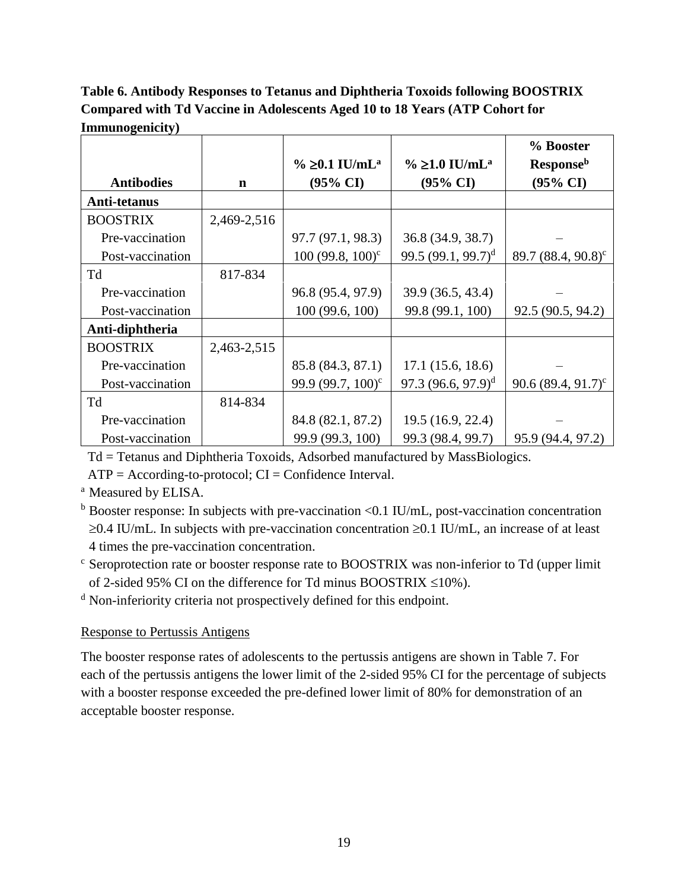# **Table 6. Antibody Responses to Tetanus and Diphtheria Toxoids following BOOSTRIX Compared with Td Vaccine in Adolescents Aged 10 to 18 Years (ATP Cohort for Immunogenicity)**

|                   |             |                                  |                                    | % Booster                      |
|-------------------|-------------|----------------------------------|------------------------------------|--------------------------------|
|                   |             | $\% \geq 0.1$ IU/mL <sup>a</sup> | $\%$ $\geq$ 1.0 IU/mL <sup>a</sup> | <b>Response</b> <sup>b</sup>   |
| <b>Antibodies</b> | $\mathbf n$ | $(95\% \text{ CI})$              | $(95\% \text{ CI})$                | $(95\% \text{ CI})$            |
| Anti-tetanus      |             |                                  |                                    |                                |
| <b>BOOSTRIX</b>   | 2,469-2,516 |                                  |                                    |                                |
| Pre-vaccination   |             | 97.7 (97.1, 98.3)                | 36.8 (34.9, 38.7)                  |                                |
| Post-vaccination  |             | $100 (99.8, 100)^c$              | 99.5 $(99.1, 99.7)^d$              | 89.7 (88.4, 90.8) <sup>c</sup> |
| Td                | 817-834     |                                  |                                    |                                |
| Pre-vaccination   |             | 96.8 (95.4, 97.9)                | 39.9 (36.5, 43.4)                  |                                |
| Post-vaccination  |             | 100 (99.6, 100)                  | 99.8 (99.1, 100)                   | 92.5 (90.5, 94.2)              |
| Anti-diphtheria   |             |                                  |                                    |                                |
| <b>BOOSTRIX</b>   | 2,463-2,515 |                                  |                                    |                                |
| Pre-vaccination   |             | 85.8 (84.3, 87.1)                | 17.1(15.6, 18.6)                   |                                |
| Post-vaccination  |             | 99.9 (99.7, 100) <sup>c</sup>    | $97.3 (96.6, 97.9)^d$              | 90.6 $(89.4, 91.7)^c$          |
| Td                | 814-834     |                                  |                                    |                                |
| Pre-vaccination   |             | 84.8 (82.1, 87.2)                | 19.5 (16.9, 22.4)                  |                                |
| Post-vaccination  |             | 99.9 (99.3, 100)                 | 99.3 (98.4, 99.7)                  | 95.9 (94.4, 97.2)              |

Td = Tetanus and Diphtheria Toxoids, Adsorbed manufactured by MassBiologics.

 $ATP = According-to-protocol; CI = Confidence Interval.$ 

<sup>a</sup> Measured by ELISA.

<sup>b</sup> Booster response: In subjects with pre-vaccination <0.1 IU/mL, post-vaccination concentration  $\geq$ 0.4 IU/mL. In subjects with pre-vaccination concentration  $\geq$ 0.1 IU/mL, an increase of at least 4 times the pre-vaccination concentration.

 $\epsilon$  Seroprotection rate or booster response rate to BOOSTRIX was non-inferior to Td (upper limit of 2-sided 95% CI on the difference for Td minus BOOSTRIX  $\leq$ 10%).

<sup>d</sup> Non-inferiority criteria not prospectively defined for this endpoint.

## Response to Pertussis Antigens

The booster response rates of adolescents to the pertussis antigens are shown in Table 7. For each of the pertussis antigens the lower limit of the 2-sided 95% CI for the percentage of subjects with a booster response exceeded the pre-defined lower limit of 80% for demonstration of an acceptable booster response.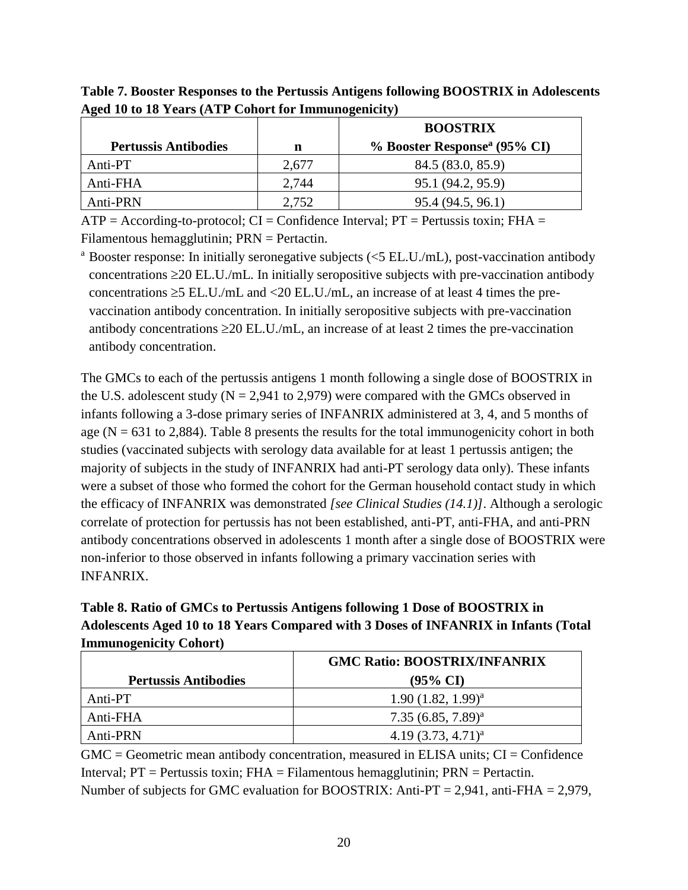| ້                           |       | <b>BOOSTRIX</b>                          |  |
|-----------------------------|-------|------------------------------------------|--|
| <b>Pertussis Antibodies</b> | n     | % Booster Response <sup>a</sup> (95% CI) |  |
| Anti-PT                     | 2,677 | 84.5 (83.0, 85.9)                        |  |
| Anti-FHA                    | 2,744 | 95.1 (94.2, 95.9)                        |  |
| Anti-PRN                    | 2,752 | 95.4 (94.5, 96.1)                        |  |

**Table 7. Booster Responses to the Pertussis Antigens following BOOSTRIX in Adolescents Aged 10 to 18 Years (ATP Cohort for Immunogenicity)**

 $ATP = According-to-protocol$ ;  $CI = Confidence Interval$ ;  $PT = Pertussis toxin$ ;  $FHA =$ Filamentous hemagglutinin; PRN = Pertactin.

<sup>a</sup> Booster response: In initially seronegative subjects ( $\leq$ 5 EL.U./mL), post-vaccination antibody concentrations  $\geq$  20 EL.U./mL. In initially seropositive subjects with pre-vaccination antibody concentrations  $\geq$ 5 EL.U./mL and  $\lt$  20 EL.U./mL, an increase of at least 4 times the prevaccination antibody concentration. In initially seropositive subjects with pre-vaccination antibody concentrations  $\geq$  20 EL.U./mL, an increase of at least 2 times the pre-vaccination antibody concentration.

The GMCs to each of the pertussis antigens 1 month following a single dose of BOOSTRIX in the U.S. adolescent study ( $N = 2,941$  to 2,979) were compared with the GMCs observed in infants following a 3-dose primary series of INFANRIX administered at 3, 4, and 5 months of age ( $N = 631$  to 2,884). Table 8 presents the results for the total immunogenicity cohort in both studies (vaccinated subjects with serology data available for at least 1 pertussis antigen; the majority of subjects in the study of INFANRIX had anti-PT serology data only). These infants were a subset of those who formed the cohort for the German household contact study in which the efficacy of INFANRIX was demonstrated *[see Clinical Studies (14.1)]*. Although a serologic correlate of protection for pertussis has not been established, anti-PT, anti-FHA, and anti-PRN antibody concentrations observed in adolescents 1 month after a single dose of BOOSTRIX were non-inferior to those observed in infants following a primary vaccination series with INFANRIX.

**Table 8. Ratio of GMCs to Pertussis Antigens following 1 Dose of BOOSTRIX in Adolescents Aged 10 to 18 Years Compared with 3 Doses of INFANRIX in Infants (Total Immunogenicity Cohort)**

|                             | <b>GMC Ratio: BOOSTRIX/INFANRIX</b> |  |
|-----------------------------|-------------------------------------|--|
| <b>Pertussis Antibodies</b> | $(95\% \text{ CI})$                 |  |
| Anti-PT                     | $1.90(1.82, 1.99)^{a}$              |  |
| Anti-FHA                    | $7.35(6.85, 7.89)^{a}$              |  |
| Anti-PRN                    | $4.19(3.73, 4.71)^{a}$              |  |

 $GMC = Geometric$  mean antibody concentration, measured in ELISA units;  $CI = Confidence$ Interval;  $PT =$  Pertussis toxin;  $FHA =$  Filamentous hemagglutinin;  $PRN =$  Pertactin. Number of subjects for GMC evaluation for BOOSTRIX: Anti-PT = 2,941, anti-FHA = 2,979,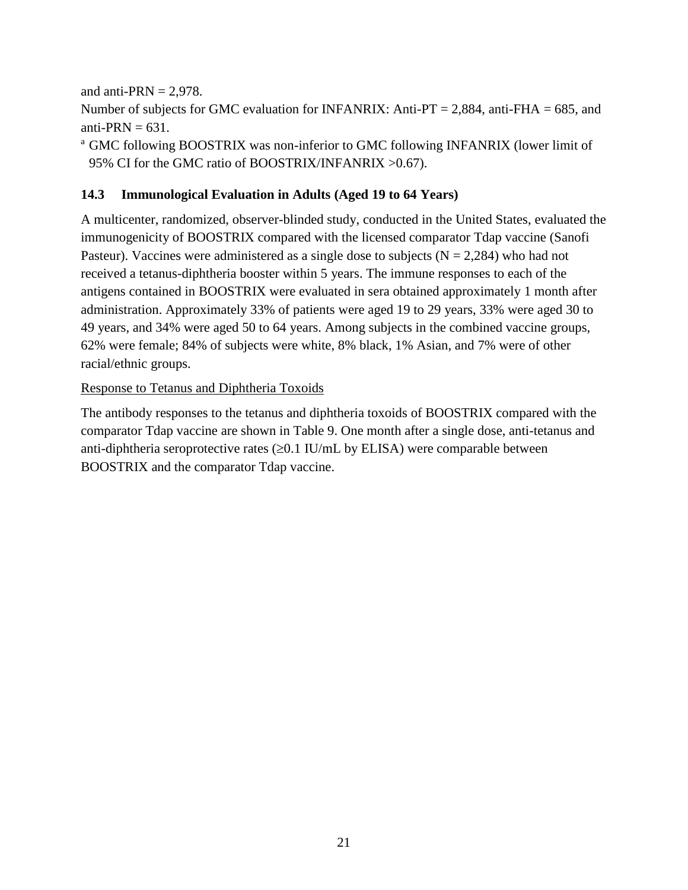and anti-PRN  $= 2.978$ .

Number of subjects for GMC evaluation for INFANRIX: Anti-PT = 2,884, anti-FHA = 685, and anti-PRN  $= 631$ .

<sup>a</sup> GMC following BOOSTRIX was non-inferior to GMC following INFANRIX (lower limit of 95% CI for the GMC ratio of BOOSTRIX/INFANRIX >0.67).

# <span id="page-20-0"></span>**14.3 Immunological Evaluation in Adults (Aged 19 to 64 Years)**

A multicenter, randomized, observer-blinded study, conducted in the United States, evaluated the immunogenicity of BOOSTRIX compared with the licensed comparator Tdap vaccine (Sanofi Pasteur). Vaccines were administered as a single dose to subjects ( $N = 2,284$ ) who had not received a tetanus-diphtheria booster within 5 years. The immune responses to each of the antigens contained in BOOSTRIX were evaluated in sera obtained approximately 1 month after administration. Approximately 33% of patients were aged 19 to 29 years, 33% were aged 30 to 49 years, and 34% were aged 50 to 64 years. Among subjects in the combined vaccine groups, 62% were female; 84% of subjects were white, 8% black, 1% Asian, and 7% were of other racial/ethnic groups.

#### Response to Tetanus and Diphtheria Toxoids

The antibody responses to the tetanus and diphtheria toxoids of BOOSTRIX compared with the comparator Tdap vaccine are shown in Table 9. One month after a single dose, anti-tetanus and anti-diphtheria seroprotective rates  $(\geq 0.1 \text{ IU/mL}$  by ELISA) were comparable between BOOSTRIX and the comparator Tdap vaccine.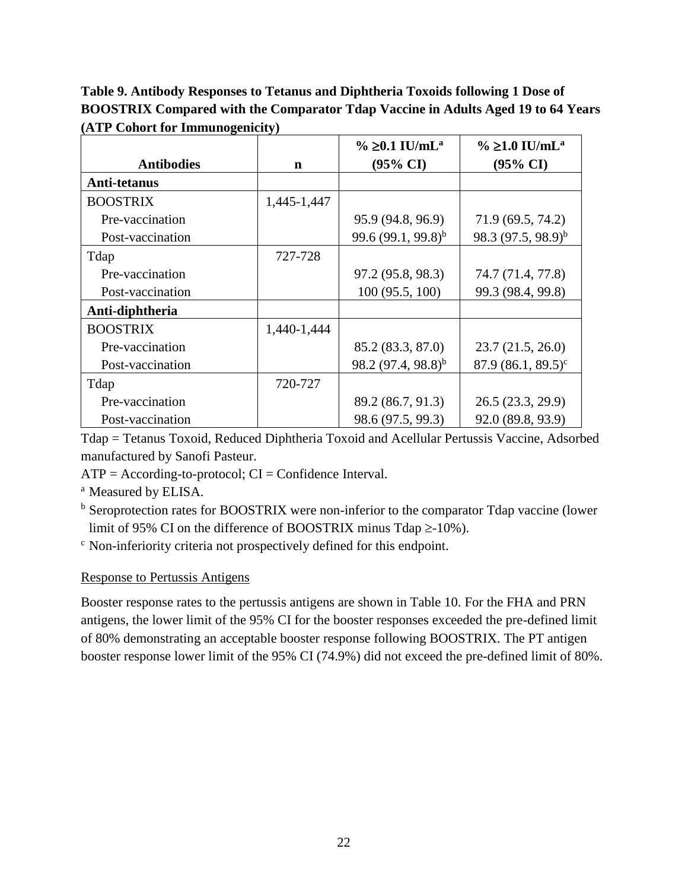**Table 9. Antibody Responses to Tetanus and Diphtheria Toxoids following 1 Dose of BOOSTRIX Compared with the Comparator Tdap Vaccine in Adults Aged 19 to 64 Years (ATP Cohort for Immunogenicity)**

|                   |             | % ≥0.1 IU/mL <sup>a</sup> | $\%$ ≥1.0 IU/mL <sup>a</sup> |
|-------------------|-------------|---------------------------|------------------------------|
| <b>Antibodies</b> | n           | $(95\% \text{ CI})$       | $(95\% \text{ CI})$          |
| Anti-tetanus      |             |                           |                              |
| <b>BOOSTRIX</b>   | 1,445-1,447 |                           |                              |
| Pre-vaccination   |             | 95.9 (94.8, 96.9)         | 71.9 (69.5, 74.2)            |
| Post-vaccination  |             | 99.6 $(99.1, 99.8)^{b}$   | 98.3 $(97.5, 98.9)^{b}$      |
| Tdap              | 727-728     |                           |                              |
| Pre-vaccination   |             | 97.2 (95.8, 98.3)         | 74.7 (71.4, 77.8)            |
| Post-vaccination  |             | 100(95.5, 100)            | 99.3 (98.4, 99.8)            |
| Anti-diphtheria   |             |                           |                              |
| <b>BOOSTRIX</b>   | 1,440-1,444 |                           |                              |
| Pre-vaccination   |             | 85.2 (83.3, 87.0)         | 23.7(21.5, 26.0)             |
| Post-vaccination  |             | $98.2 (97.4, 98.8)^{b}$   | $87.9(86.1, 89.5)^c$         |
| Tdap              | 720-727     |                           |                              |
| Pre-vaccination   |             | 89.2 (86.7, 91.3)         | 26.5 (23.3, 29.9)            |
| Post-vaccination  |             | 98.6 (97.5, 99.3)         | 92.0 (89.8, 93.9)            |

Tdap = Tetanus Toxoid, Reduced Diphtheria Toxoid and Acellular Pertussis Vaccine, Adsorbed manufactured by Sanofi Pasteur.

 $ATP = According-to-protocol; CI = Confidence Interval.$ 

<sup>a</sup> Measured by ELISA.

<sup>b</sup> Seroprotection rates for BOOSTRIX were non-inferior to the comparator Tdap vaccine (lower limit of 95% CI on the difference of BOOSTRIX minus Tdap  $\geq$ -10%).

<sup>c</sup> Non-inferiority criteria not prospectively defined for this endpoint.

#### Response to Pertussis Antigens

Booster response rates to the pertussis antigens are shown in Table 10. For the FHA and PRN antigens, the lower limit of the 95% CI for the booster responses exceeded the pre-defined limit of 80% demonstrating an acceptable booster response following BOOSTRIX. The PT antigen booster response lower limit of the 95% CI (74.9%) did not exceed the pre-defined limit of 80%.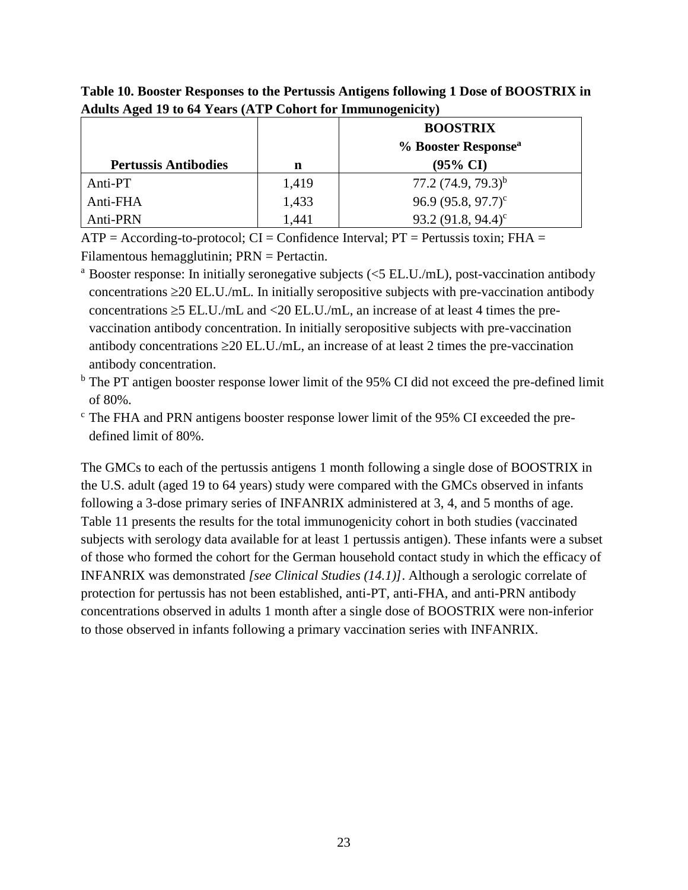|                             |       | <b>BOOSTRIX</b>                 |
|-----------------------------|-------|---------------------------------|
|                             |       | % Booster Response <sup>a</sup> |
| <b>Pertussis Antibodies</b> | n     | $(95\% \text{ CI})$             |
| Anti-PT                     | 1,419 | 77.2 $(74.9, 79.3)^{b}$         |
| Anti-FHA                    | 1,433 | 96.9 $(95.8, 97.7)^c$           |
| Anti-PRN                    | 1,441 | 93.2 $(91.8, 94.4)^c$           |

**Table 10. Booster Responses to the Pertussis Antigens following 1 Dose of BOOSTRIX in Adults Aged 19 to 64 Years (ATP Cohort for Immunogenicity)**

 $ATP = According-to-protocol$ ;  $CI = Confidence Interval$ ;  $PT = Pertussis toxin$ ;  $FHA =$ Filamentous hemagglutinin; PRN = Pertactin.

<sup>a</sup> Booster response: In initially seronegative subjects  $\ll$  5 EL.U./mL), post-vaccination antibody concentrations  $\geq$  20 EL.U./mL. In initially seropositive subjects with pre-vaccination antibody concentrations  $\geq$ 5 EL.U./mL and <20 EL.U./mL, an increase of at least 4 times the prevaccination antibody concentration. In initially seropositive subjects with pre-vaccination antibody concentrations  $\geq$  20 EL.U./mL, an increase of at least 2 times the pre-vaccination antibody concentration.

<sup>b</sup> The PT antigen booster response lower limit of the 95% CI did not exceed the pre-defined limit of 80%.

<sup>c</sup> The FHA and PRN antigens booster response lower limit of the 95% CI exceeded the predefined limit of 80%.

The GMCs to each of the pertussis antigens 1 month following a single dose of BOOSTRIX in the U.S. adult (aged 19 to 64 years) study were compared with the GMCs observed in infants following a 3-dose primary series of INFANRIX administered at 3, 4, and 5 months of age. Table 11 presents the results for the total immunogenicity cohort in both studies (vaccinated subjects with serology data available for at least 1 pertussis antigen). These infants were a subset of those who formed the cohort for the German household contact study in which the efficacy of INFANRIX was demonstrated *[see Clinical Studies (14.1)]*. Although a serologic correlate of protection for pertussis has not been established, anti-PT, anti-FHA, and anti-PRN antibody concentrations observed in adults 1 month after a single dose of BOOSTRIX were non-inferior to those observed in infants following a primary vaccination series with INFANRIX.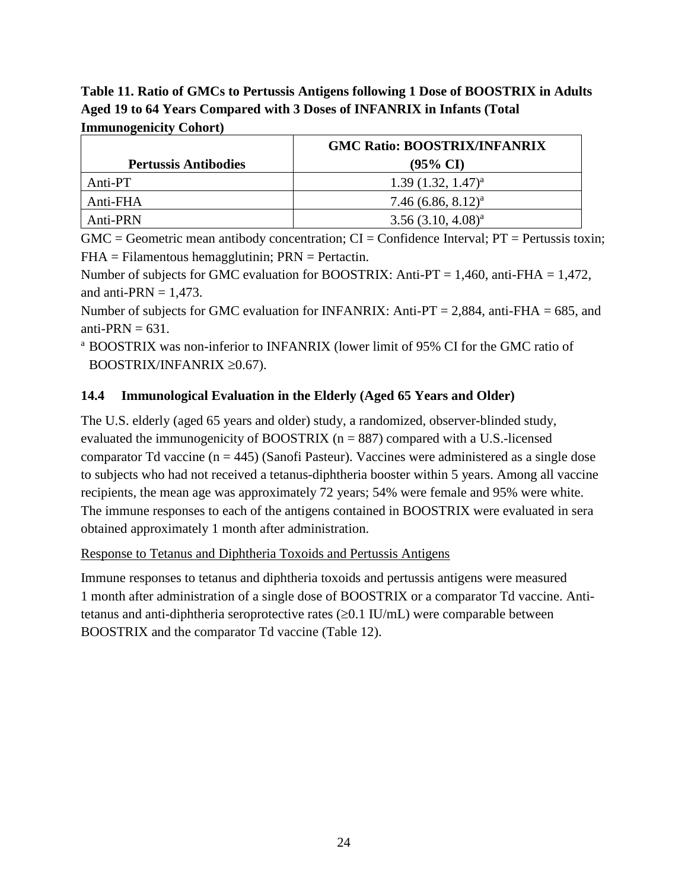**Table 11. Ratio of GMCs to Pertussis Antigens following 1 Dose of BOOSTRIX in Adults Aged 19 to 64 Years Compared with 3 Doses of INFANRIX in Infants (Total Immunogenicity Cohort)**

|                             | <b>GMC Ratio: BOOSTRIX/INFANRIX</b> |  |
|-----------------------------|-------------------------------------|--|
| <b>Pertussis Antibodies</b> | $(95\% \text{ CI})$                 |  |
| Anti-PT                     | $1.39(1.32, 1.47)^{a}$              |  |
| Anti-FHA                    | 7.46 $(6.86, 8.12)^a$               |  |
| Anti-PRN                    | $3.56(3.10, 4.08)^{a}$              |  |

 $GMC = Geometric$  mean antibody concentration;  $CI = Confidence$  Interval;  $PT = Pertussis$  toxin;  $FHA = Filamentous hemagglutinin; PRN = Pertactin.$ 

Number of subjects for GMC evaluation for BOOSTRIX: Anti-PT = 1,460, anti-FHA = 1,472, and anti-PRN  $= 1,473$ .

Number of subjects for GMC evaluation for INFANRIX: Anti-PT = 2,884, anti-FHA = 685, and anti-PRN  $= 631$ .

<sup>a</sup> BOOSTRIX was non-inferior to INFANRIX (lower limit of 95% CI for the GMC ratio of BOOSTRIX/INFANRIX  $\geq 0.67$ ).

## <span id="page-23-0"></span>**14.4 Immunological Evaluation in the Elderly (Aged 65 Years and Older)**

The U.S. elderly (aged 65 years and older) study, a randomized, observer-blinded study, evaluated the immunogenicity of BOOSTRIX ( $n = 887$ ) compared with a U.S.-licensed comparator Td vaccine  $(n = 445)$  (Sanofi Pasteur). Vaccines were administered as a single dose to subjects who had not received a tetanus-diphtheria booster within 5 years. Among all vaccine recipients, the mean age was approximately 72 years; 54% were female and 95% were white. The immune responses to each of the antigens contained in BOOSTRIX were evaluated in sera obtained approximately 1 month after administration.

Response to Tetanus and Diphtheria Toxoids and Pertussis Antigens

Immune responses to tetanus and diphtheria toxoids and pertussis antigens were measured 1 month after administration of a single dose of BOOSTRIX or a comparator Td vaccine. Antitetanus and anti-diphtheria seroprotective rates  $(\geq 0.1 \text{ IU/mL})$  were comparable between BOOSTRIX and the comparator Td vaccine (Table 12).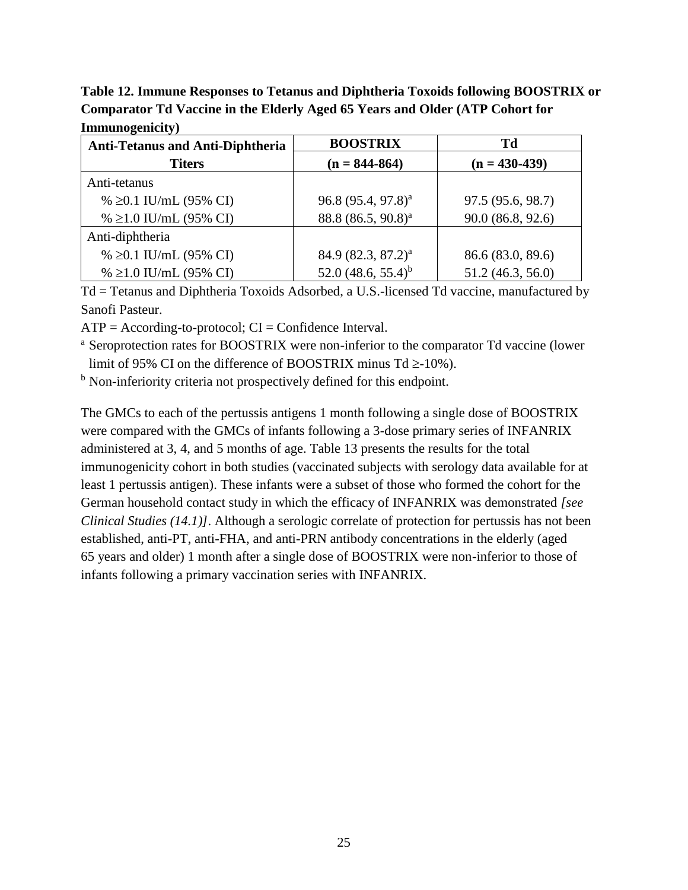**Table 12. Immune Responses to Tetanus and Diphtheria Toxoids following BOOSTRIX or Comparator Td Vaccine in the Elderly Aged 65 Years and Older (ATP Cohort for Immunogenicity)**

| <b>Anti-Tetanus and Anti-Diphtheria</b> | <b>BOOSTRIX</b>                | Td                |
|-----------------------------------------|--------------------------------|-------------------|
| <b>Titers</b>                           | $(n = 844 - 864)$              | $(n = 430-439)$   |
| Anti-tetanus                            |                                |                   |
| % $\geq 0.1$ IU/mL (95% CI)             | 96.8 (95.4, 97.8) <sup>a</sup> | 97.5 (95.6, 98.7) |
| % $\geq$ 1.0 IU/mL (95% CI)             | 88.8 (86.5, 90.8) <sup>a</sup> | 90.0(86.8, 92.6)  |
| Anti-diphtheria                         |                                |                   |
| % $\geq 0.1$ IU/mL (95% CI)             | 84.9 (82.3, 87.2) <sup>a</sup> | 86.6 (83.0, 89.6) |
| % $\geq$ 1.0 IU/mL (95% CI)             | 52.0 $(48.6, 55.4)^b$          | 51.2 (46.3, 56.0) |

Td = Tetanus and Diphtheria Toxoids Adsorbed, a U.S.-licensed Td vaccine, manufactured by Sanofi Pasteur.

 $ATP = According-to-protocol; CI = Confidence Interval.$ 

<sup>a</sup> Seroprotection rates for BOOSTRIX were non-inferior to the comparator Td vaccine (lower limit of 95% CI on the difference of BOOSTRIX minus  $Td \geq -10\%$ ).

<sup>b</sup> Non-inferiority criteria not prospectively defined for this endpoint.

The GMCs to each of the pertussis antigens 1 month following a single dose of BOOSTRIX were compared with the GMCs of infants following a 3-dose primary series of INFANRIX administered at 3, 4, and 5 months of age. Table 13 presents the results for the total immunogenicity cohort in both studies (vaccinated subjects with serology data available for at least 1 pertussis antigen). These infants were a subset of those who formed the cohort for the German household contact study in which the efficacy of INFANRIX was demonstrated *[see Clinical Studies (14.1)]*. Although a serologic correlate of protection for pertussis has not been established, anti-PT, anti-FHA, and anti-PRN antibody concentrations in the elderly (aged 65 years and older) 1 month after a single dose of BOOSTRIX were non-inferior to those of infants following a primary vaccination series with INFANRIX.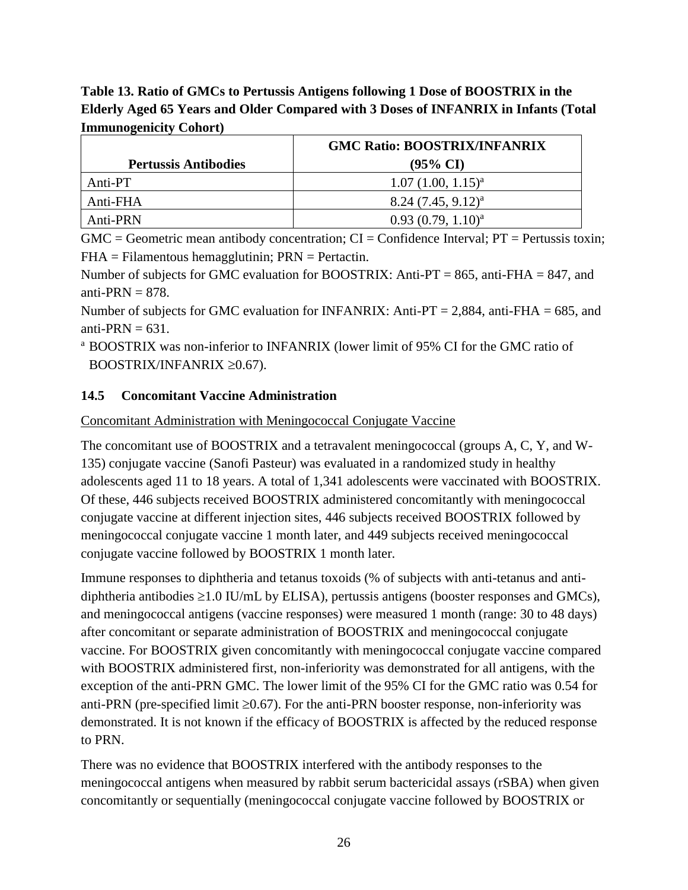**Table 13. Ratio of GMCs to Pertussis Antigens following 1 Dose of BOOSTRIX in the Elderly Aged 65 Years and Older Compared with 3 Doses of INFANRIX in Infants (Total Immunogenicity Cohort)**

|                             | <b>GMC Ratio: BOOSTRIX/INFANRIX</b> |
|-----------------------------|-------------------------------------|
| <b>Pertussis Antibodies</b> | $(95\% \text{ CI})$                 |
| Anti-PT                     | $1.07(1.00, 1.15)^{a}$              |
| Anti-FHA                    | $8.24 (7.45, 9.12)^{a}$             |
| Anti-PRN                    | $0.93(0.79, 1.10)^{a}$              |

 $GMC = Geometric$  mean antibody concentration;  $CI = Confidence$  Interval;  $PT = Pertussis$  toxin;  $FHA = Filamentous hemagglutinin; PRN = Pertactin.$ 

Number of subjects for GMC evaluation for BOOSTRIX: Anti-PT = 865, anti-FHA = 847, and anti-PRN  $= 878$ .

Number of subjects for GMC evaluation for INFANRIX: Anti-PT = 2,884, anti-FHA = 685, and anti-PRN  $= 631$ .

<sup>a</sup> BOOSTRIX was non-inferior to INFANRIX (lower limit of 95% CI for the GMC ratio of BOOSTRIX/INFANRIX  $\geq 0.67$ ).

#### <span id="page-25-0"></span>**14.5 Concomitant Vaccine Administration**

#### Concomitant Administration with Meningococcal Conjugate Vaccine

The concomitant use of BOOSTRIX and a tetravalent meningococcal (groups A, C, Y, and W-135) conjugate vaccine (Sanofi Pasteur) was evaluated in a randomized study in healthy adolescents aged 11 to 18 years. A total of 1,341 adolescents were vaccinated with BOOSTRIX. Of these, 446 subjects received BOOSTRIX administered concomitantly with meningococcal conjugate vaccine at different injection sites, 446 subjects received BOOSTRIX followed by meningococcal conjugate vaccine 1 month later, and 449 subjects received meningococcal conjugate vaccine followed by BOOSTRIX 1 month later.

Immune responses to diphtheria and tetanus toxoids (% of subjects with anti-tetanus and antidiphtheria antibodies  $\geq 1.0$  IU/mL by ELISA), pertussis antigens (booster responses and GMCs), and meningococcal antigens (vaccine responses) were measured 1 month (range: 30 to 48 days) after concomitant or separate administration of BOOSTRIX and meningococcal conjugate vaccine. For BOOSTRIX given concomitantly with meningococcal conjugate vaccine compared with BOOSTRIX administered first, non-inferiority was demonstrated for all antigens, with the exception of the anti-PRN GMC. The lower limit of the 95% CI for the GMC ratio was 0.54 for anti-PRN (pre-specified limit  $\geq 0.67$ ). For the anti-PRN booster response, non-inferiority was demonstrated. It is not known if the efficacy of BOOSTRIX is affected by the reduced response to PRN.

There was no evidence that BOOSTRIX interfered with the antibody responses to the meningococcal antigens when measured by rabbit serum bactericidal assays (rSBA) when given concomitantly or sequentially (meningococcal conjugate vaccine followed by BOOSTRIX or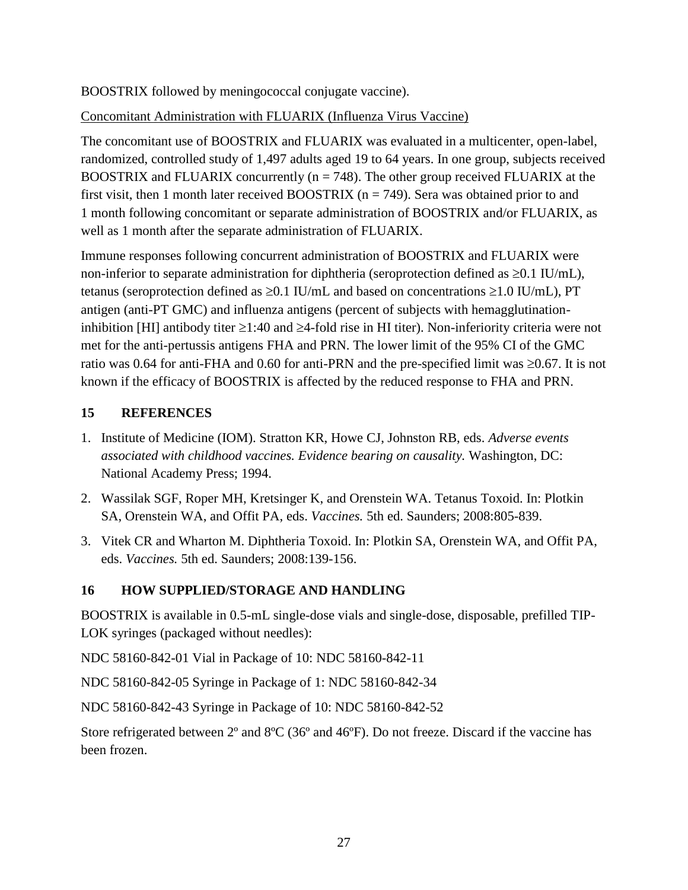BOOSTRIX followed by meningococcal conjugate vaccine).

# Concomitant Administration with FLUARIX (Influenza Virus Vaccine)

The concomitant use of BOOSTRIX and FLUARIX was evaluated in a multicenter, open-label, randomized, controlled study of 1,497 adults aged 19 to 64 years. In one group, subjects received BOOSTRIX and FLUARIX concurrently ( $n = 748$ ). The other group received FLUARIX at the first visit, then 1 month later received BOOSTRIX ( $n = 749$ ). Sera was obtained prior to and 1 month following concomitant or separate administration of BOOSTRIX and/or FLUARIX, as well as 1 month after the separate administration of FLUARIX.

Immune responses following concurrent administration of BOOSTRIX and FLUARIX were non-inferior to separate administration for diphtheria (seroprotection defined as  $\geq 0.1$  IU/mL), tetanus (seroprotection defined as  $\geq 0.1$  IU/mL and based on concentrations  $\geq 1.0$  IU/mL), PT antigen (anti-PT GMC) and influenza antigens (percent of subjects with hemagglutinationinhibition [HI] antibody titer  $\geq 1:40$  and  $\geq 4$ -fold rise in HI titer). Non-inferiority criteria were not met for the anti-pertussis antigens FHA and PRN. The lower limit of the 95% CI of the GMC ratio was 0.64 for anti-FHA and 0.60 for anti-PRN and the pre-specified limit was  $\geq 0.67$ . It is not known if the efficacy of BOOSTRIX is affected by the reduced response to FHA and PRN.

## <span id="page-26-0"></span>**15 REFERENCES**

- 1. Institute of Medicine (IOM). Stratton KR, Howe CJ, Johnston RB, eds. *Adverse events associated with childhood vaccines. Evidence bearing on causality.* Washington, DC: National Academy Press; 1994.
- 2. Wassilak SGF, Roper MH, Kretsinger K, and Orenstein WA. Tetanus Toxoid. In: Plotkin SA, Orenstein WA, and Offit PA, eds. *Vaccines.* 5th ed. Saunders; 2008:805-839.
- 3. Vitek CR and Wharton M. Diphtheria Toxoid. In: Plotkin SA, Orenstein WA, and Offit PA, eds. *Vaccines.* 5th ed. Saunders; 2008:139-156.

# <span id="page-26-1"></span>**16 HOW SUPPLIED/STORAGE AND HANDLING**

BOOSTRIX is available in 0.5-mL single-dose vials and single-dose, disposable, prefilled TIP-LOK syringes (packaged without needles):

NDC 58160-842-01 Vial in Package of 10: NDC 58160-842-11

NDC 58160-842-05 Syringe in Package of 1: NDC 58160-842-34

NDC 58160-842-43 Syringe in Package of 10: NDC 58160-842-52

Store refrigerated between 2º and 8ºC (36º and 46ºF). Do not freeze. Discard if the vaccine has been frozen.